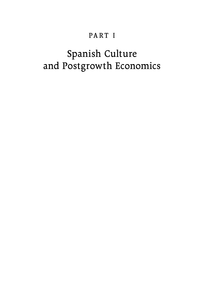# PART I

# Spanish Culture and Postgrowth Economics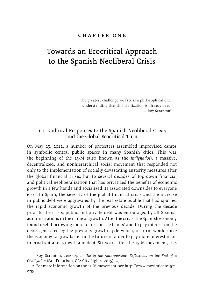### chapter one

# Towards an Ecocritical Approach to the Spanish Neoliberal Crisis

The greatest challenge we face is a philosophical one: understanding that this civilization is already dead.  $-$ Roy Scranton<sup>1</sup>

# 1.1. Cultural Responses to the Spanish Neoliberal Crisis and the Global Ecocritical Turn

On May 15, 2011, a number of protesters assembled improvised camps in symbolic central public spaces in many Spanish cities. This was the beginning of the 15-M (also known as the *indignados*), a massive, decentralized, and nonhierarchical social movement that responded not only to the implementation of socially devastating austerity measures after the global financial crisis, but to several decades of top-down financial and political neoliberalization that has privatized the benefits of economic growth in a few hands and socialized its associated downsides to everyone else.2 In Spain, the severity of the global financial crisis and the increase in public debt were aggravated by the real estate bubble that had spurred the rapid economic growth of the previous decade. During the decade prior to the crisis, public and private debt was encouraged by all Spanish administrations in the name of growth. After the crisis, the Spanish economy found itself borrowing more to 'rescue the banks' and to pay interest on the debts generated by the previous growth cycle which, in turn, would force the economy to grow faster in the future in order to pay more interest in an infernal spiral of growth and debt. Six years after the 15-M movement, it is

2 For more information on the 15-M movement, see [http://www.movimiento15m.](http://www.movimiento15m.org) [org](http://www.movimiento15m.org)/.

<sup>1</sup> Roy Scranton, *Learning to Die in the Anthropocene: Reflections on the End of a Civilization* (San Francisco, CA: City Lights, 2015), 23.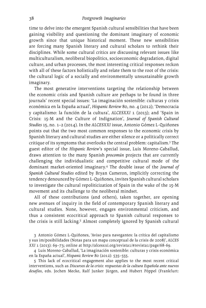time to delve into the emergent Spanish cultural sensibilities that have been gaining visibility and questioning the dominant imaginary of economic growth since that unique historical moment. These new sensibilities are forcing many Spanish literary and cultural scholars to rethink their disciplines. While some cultural critics are discussing relevant issues like multiculturalism, neoliberal biopolitics, socioeconomic degradation, digital culture, and urban processes, the most interesting critical responses reckon with all of these factors holistically and relate them to the root of the crisis: the cultural logic of a socially and environmentally unsustainable growth imaginary.

The most generative interventions targeting the relationship between the economic crisis and Spanish culture are perhaps to be found in three journals' recent special issues: 'La imaginación sostenible: culturas y crisis económica en la España actual', *Hispanic Review* 80, no. 4 (2012); 'Democracia y capitalismo: la función de la cultura', *ALCESXXI* 1 (2013); and 'Spain in Crisis: 15-M and the Culture of Indignation', *Journal of Spanish Cultural Studies* 15, no. 1–2 (2014). In the *ALCESXXI* issue, Antonio Gómez L-Quiñones points out that the two most common responses to the economic crisis by Spanish literary and cultural studies are either silence or a politically correct critique of its symptoms that overlooks the central problem: capitalism.3 The guest editor of the *Hispanic Review*'s special issue, Luis Moreno-Caballud, draws attention to the many Spanish *procomún* projects that are currently challenging the individualistic and competitive cultural mode of the dominant market-oriented imaginary.4 The double issue of the *Journal of Spanish Cultural Studies* edited by Bryan Cameron, implicitly correcting the tendency denounced by Gómez L-Quiñones, invites Spanish cultural scholars to investigate the cultural repoliticization of Spain in the wake of the 15-M movement and its challenge to the neoliberal mindset.

All of these contributions (and others), taken together, are opening new avenues of inquiry in the field of contemporary Spanish literary and cultural studies. None, however, engages environmental criticism, and thus a consistent ecocritical approach to Spanish cultural responses to the crisis is still lacking.<sup>5</sup> Almost completely ignored by Spanish cultural

3 Antonio Gómez L-Quiñones, 'Aviso para navegantes: la crítica del capitalismo y sus im/posibilidades (Notas para un mapa conceptual de la crisis de 2008)', *ALCES XXI* 1 (2013): 69–73; online at <http://alcesxxi.org/revista1>/#revista1/page/68-69.

4 Luis Moreno-Caballud, 'La imaginación sostenible: culturas y crisis económica en la España actual', *Hispanic Review* 80 (2012): 535–555.

5 This lack of ecocritical engagement also applies to the most recent critical interventions, such as *Discursos de la crisis: respuestas de la cultura Española ante nuevos desafíos*, eds. Jochen Mecke, Ralf Junker Jürgen, and Hubert Pöppel (Frankfurt: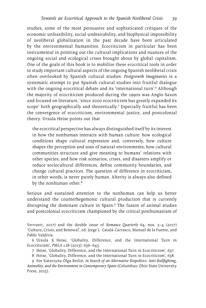studies, some of the most persuasive and sophisticated critiques of the economic unfeasibility, social undesirability, and biophysical impossibility of neoliberal globalization in the past decade have been articulated by the environmental humanities. Ecocriticism in particular has been instrumental in pointing out the cultural implications and nuances of the ongoing social and ecological crises brought about by global capitalism. One of the goals of this book is to mobilize these ecocritical tools in order to study important cultural aspects of the ongoing Spanish neoliberal crisis often overlooked by Spanish cultural studies. *Postgrowth Imaginaries* is a systematic attempt to put Spanish cultural studies into fruitful dialogue with the ongoing ecocritical debate and its 'international turn'.6 Although the majority of ecocriticism produced during the 1990s was Anglo-Saxon and focused on literature, 'since 2000 ecocriticism has greatly expanded its scope' both geographically and theoretically.7 Especially fruitful has been the convergence of ecocriticism, environmental justice, and postcolonial theory. Ursula Heise points out that

the ecocritical perspective has always distinguished itself by its interest in how the nonhuman interacts with human culture: how ecological conditions shape cultural expression and, conversely, how culture shapes the perception and uses of natural environments; how cultural communities structure and give meaning to humans' relations with other species; and how risk scenarios, crises, and disasters amplify or reduce sociocultural differences, define community boundaries, and change cultural practices. The question of difference in ecocriticism, in other words, is never purely human. Alterity is always also defined by the nonhuman other.<sup>8</sup>

Serious and sustained attention to the nonhuman can help us better understand the counterhegemonic cultural production that is currently disrupting the dominant culture in Spain.9 The fusion of animal studies and postcolonial ecocriticism championed by the critical posthumanism of

Vervuert, 2017) and the double issue of *Romance Quarterly* 64, nos. 3–4 (2017) 'Culture, Crisis, and Renewal', ed. Jorge L. Catalá-Carrasco, Manuel de la Fuente, and Pablo Valdivia.

6 Ursula K. Heise, 'Globality, Difference, and the International Turn in Ecocriticism', *PMLA* 128 (2013): 636–643.

7 Heise, 'Globality, Difference, and the International Turn in Ecocriticism', 637.

8 Heise, 'Globality, Difference, and the International Turn in Ecocriticism', 638.

9 See Katarzyna Olga Beilin, *In Search of an Alternative Biopolitics: Anti-Bullfighting, Animality, and the Environment in Contemporary Spain* (Columbus: Ohio State University Press, 2015).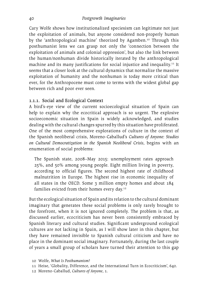Cary Wolfe shows how institutionalized speciesism can legitimate not just the exploitation of animals, but anyone considered non-properly human by the 'anthropological machine' theorized by Agamben.10 Through this posthumanist lens we can grasp not only the 'connection between the exploitation of animals and colonial oppression', but also the link between the human/nonhuman divide historically iterated by the anthropological machine and its many justifications for social injustice and inequality.<sup>11</sup> It seems that a closer look at the cultural dynamics that normalize the massive exploitation of humanity and the nonhuman is today more critical than ever, for the Anthropocene must come to terms with the widest global gap between rich and poor ever seen.

#### 1.1.1. Social and Ecological Context

A bird's-eye view of the current socioecological situation of Spain can help to explain why the ecocritical approach is so urgent. The explosive socioeconomic situation in Spain is widely acknowledged, and studies dealing with the cultural changes spurred by this situation have proliferated. One of the most comprehensive explorations of culture in the context of the Spanish neoliberal crisis, Moreno-Caballud's *Cultures of Anyone: Studies on Cultural Democratization in the Spanish Neoliberal Crisis*, begins with an enumeration of social problems:

The Spanish state, 2008–May 2015: unemployment rates approach 25%, and 50% among young people. Eight million living in poverty, according to official figures. The second highest rate of childhood malnutrition in Europe. The highest rise in economic inequality of all states in the OECD. Some 3 million empty homes and about 184 families evicted from their homes every day.<sup>12</sup>

But the ecological situation of Spain and its relation to the cultural dominant imaginary that generates these social problems is only rarely brought to the forefront, when it is not ignored completely. The problem is that, as discussed earlier, ecocriticism has never been consistently embraced by Spanish literary and cultural studies. Significant underground ecological cultures are not lacking in Spain, as I will show later in this chapter, but they have remained invisible to Spanish cultural criticism and have no place in the dominant social imaginary. Fortunately, during the last couple of years a small group of scholars have turned their attention to this gap

- 10 Wolfe, *What Is Posthumanism?*
- 11 Heise, 'Globality, Difference, and the International Turn in Ecocriticism', 640.
- 12 Moreno-Caballud, *Cultures of Anyone*, 1.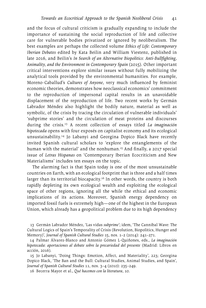and the focus of cultural criticism is gradually expanding to include the importance of sustaining the social reproduction of life and collective care for vulnerable bodies privatized or ignored by neoliberalism. The best examples are perhaps the collected volume *Ethics of Life: Contemporary Iberian Debates* edited by Kata Beilin and William Viestenz, published in late 2016, and Beilin's *In Search of an Alternative Biopolitics: Anti-Bullfighting, Animality, and the Environment in Contemporary Spain* (2015). Other important critical interventions explore similar issues without fully mobilizing the analytical tools provided by the environmental humanities. For example, Moreno-Caballud's *Cultures of Anyone*, very much influenced by feminist economic theories, demonstrates how neoclassical economics' commitment to the reproduction of impersonal capital results in an unavoidable displacement of the reproduction of life. Two recent works by Germán Labrador Méndez also highlight the bodily nature, material as well as symbolic, of the crisis by tracing the circulation of vulnerable individuals' 'subprime stories' and the circulation of meat proteins and discourses during the crisis.13 A recent collection of essays titled *La imaginación hipotecada* opens with four exposés on capitalist economy and its ecological unsustainability.14 Jo Labanyi and Georgina Dopico Black have recently invited Spanish cultural scholars to 'explore the entanglements of the human with the material' and the nonhuman.<sup>15</sup> And finally, a 2017 special issue of *Letras Hispanas* on 'Contemporary Iberian Ecocriticism and New Materialisms' includes ten essays on the topic.

The alarming fact is that Spain today is one of the most unsustainable countries on Earth, with an ecological footprint that is three and a half times larger than its territorial biocapacity.<sup>16</sup> In other words, the country is both rapidly depleting its own ecological wealth and exploiting the ecological space of other regions, ignoring all the while the ethical and economic implications of its actions. Moreover, Spanish energy dependency on imported fossil fuels is extremely high—one of the highest in the European Union, which already has a geopolitical problem due to its high dependency

13 Germán Labrador Méndez, 'Las vidas *subprime*'; idem, 'The Cannibal Wave: The Cultural Logics of Spain's Temporality of Crisis (Revolution, Biopolitics, Hunger and Memory)', *Journal of Spanish Cultural Studies* 15, nos. 1–2 (2014): 241–271.

14 Palmar Álvarez-Blanco and Antonio Gómez L-Quiñones, eds., *La imaginación hipotecada: aportaciones al debate sobre la precariedad del presente* (Madrid: Libros en acción, 2016).

15 Jo Labanyi, 'Doing Things: Emotion, Affect, and Materiality', 223; Georgina Dopico Black, 'The Ban and the Bull: Cultural Studies, Animal Studies, and Spain', *Journal of Spanish Cultural Studies* 11, nos. 3–4 (2010): 235–249.

16 Becerra Mayor et al., *Qué hacemos con la literatura*, 10.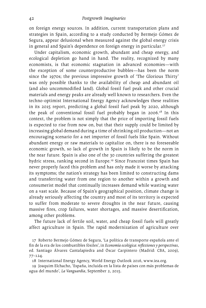on foreign energy sources. In addition, current transportation plans and strategies in Spain, according to a study conducted by Bermejo Gómez de Segura, appear delusional when measured against the global energy crisis in general and Spain's dependence on foreign energy in particular.<sup>17</sup>

Under capitalism, economic growth, abundant and cheap energy, and ecological depletion go hand in hand. The reality, recognized by many economists, is that economic stagnation in advanced economies—with the exception of some counterproductive bubbles—has been the norm since the 1970s; the previous impressive growth of 'The Glorious Thirty' was only possible thanks to the availability of cheap and abundant oil (and also uncommodified land). Global fossil fuel peak and other crucial materials and energy peaks are already well known to researchers. Even the techno-optimist International Energy Agency acknowledges these realities in its 2015 report, predicting a global fossil fuel peak by 2020, although the peak of conventional fossil fuel probably began in 2006.18 In this context, the problem is not simply that the price of importing fossil fuels is expected to rise from now on, but that their supply could be limited by increasing global demand during a time of shrinking oil production—not an encouraging scenario for a net importer of fossil fuels like Spain. Without abundant energy or raw materials to capitalize on, there is no foreseeable economic growth, so lack of growth in Spain is likely to be the norm in the near future. Spain is also one of the 30 countries suffering the greatest hydric stress, ranking second in Europe.<sup>19</sup> Since Francoist times Spain has never properly faced this problem and has only made it worse by attacking its symptoms; the nation's strategy has been limited to constructing dams and transferring water from one region to another within a growth and consumerist model that continually increases demand while wasting water on a vast scale. Because of Spain's geographical position, climate change is already seriously affecting the country and most of its territory is expected to suffer from moderate to severe droughts in the near future, causing massive fires, crop failures, water shortages, and massive desertification, among other problems.

The future lack of fertile soil, water, and cheap fossil fuels will greatly affect agriculture in Spain. The rapid modernization of agriculture over

17 Roberto Bermejo Gómez de Segura, 'La política de transporte española ante el fin de la era de los combustibles fósiles', in *Economía ecológica: reflexiones y perspectivas*, ed. Santiago Álvarez Cantalapiedra and Óscar Carpintero (Madrid: CBA, 2009), 77–124.

18 International Energy Agency, World Energy Outlook 2016, <www.iea.org>.

19 Joaquim Elchacho, 'España, incluida en la lista de países con más problemas de agua del mundo', *La Vanguardia*, September 2, 2015.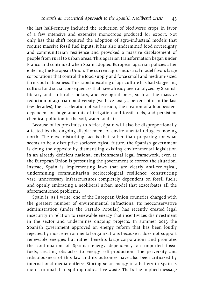the last half-century included the reduction of biodiverse crops in favor of a few intensive and extensive monocrops produced for export. Not only has this shift required the adoption of agro-industrial models that require massive fossil fuel inputs, it has also undermined food sovereignty and communitarian resilience and provoked a massive displacement of people from rural to urban areas. This agrarian transformation began under Franco and continued when Spain adopted European agrarian policies after entering the European Union. The current agro-industrial model favors large corporations that control the food supply and force small and medium-sized farms out of business. This rapid upscaling of agriculture has had staggering cultural and social consequences that have already been analyzed by Spanish literary and cultural scholars, and ecological ones, such as the massive reduction of agrarian biodiversity (we have lost 75 percent of it in the last few decades), the acceleration of soil erosion, the creation of a food system dependent on huge amounts of irrigation and fossil fuels, and persistent chemical pollution in the soil, water, and air.

Because of its proximity to Africa, Spain will also be disproportionally affected by the ongoing displacement of environmental refugees moving north. The most disturbing fact is that rather than preparing for what seems to be a disruptive socioecological future, the Spanish government is doing the opposite by dismantling existing environmental legislation in an already deficient national environmental legal framework, even as the European Union is pressuring the government to correct the situation. Instead, Spain is implementing laws that are clearly anti-ecological, undermining communitarian socioecological resilience; constructing vast, unnecessary infrastructures completely dependent on fossil fuels; and openly embracing a neoliberal urban model that exacerbates all the aforementioned problems.

Spain is, as I write, one of the European Union countries charged with the greatest number of environmental infractions. Its neoconservative administration (under the Partido Popular) has recently created legal insecurity in relation to renewable energy that incentivizes disinvestment in the sector and undermines ongoing projects. In summer 2013 the Spanish government approved an energy reform that has been loudly rejected by most environmental organizations because it does not support renewable energies but rather benefits large corporations and promotes the continuation of Spanish energy dependency on imported fossil fuels, creating obstacles to energy self-production. The perversity and ridiculousness of this law and its outcomes have also been criticized by international media outlets: 'Storing solar energy in a battery in Spain is more criminal than spilling radioactive waste. That's the implied message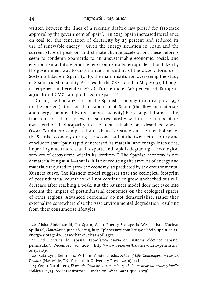written between the lines of a recently drafted law poised for fast-track approval by the government of Spain'.20 In 2015, Spain increased its reliance on coal for the generation of electricity by 23 percent and reduced its use of renewable energy.<sup>21</sup> Given the energy situation in Spain and the current state of peak oil and climate change acceleration, these reforms seem to condemn Spaniards to an unsustainable economic, social, and environmental future. Another environmentally retrograde action taken by the government was to discontinue the funding of the Observatorio de la Sostenibilidad en España (OSE), the main institution overseeing the study of Spanish sustainability. As a result, the OSE closed in May 2013 (although it reopened in December 2014). Furthermore, '90 percent of European agricultural GMOs are produced in Spain'.<sup>22</sup>

During the liberalization of the Spanish economy (from roughly 1950 to the present), the social metabolism of Spain (the flow of materials and energy mobilized by its economic activity) has changed dramatically, from one based on renewable sources mostly within the limits of its own territorial biocapacity to the unsustainable one described above. Óscar Carpintero completed an exhaustive study on the metabolism of the Spanish economy during the second half of the twentieth century and concluded that Spain rapidly increased its material and energy intensities, importing much more than it exports and rapidly degrading the ecological services of ecosystems within its territory.<sup>23</sup> The Spanish economy is not dematerializing at all—that is, it is not reducing the amount of energy and materials required to grow the economy, as predicted by the environmental Kuznets curve. The Kuznets model suggests that the ecological footprint of postindustrial countries will not continue to grow unchecked but will decrease after reaching a peak. But the Kuznets model does not take into account the impact of postindustrial economies on the ecological spaces of other regions. Advanced economies do not dematerialize, rather they externalize somewhere else the vast environmental degradation resulting from their consumerist lifestyles.

20 Aisha Abdelhamid, 'In Spain, Solar Energy Storage Is Worse than Nuclear Spillage', *PlanetSavet*, June 18, 2015, [http://planetsave.com/2015/06/18/in-](http://planetsave.com/2015/06/18/in)spain-solarenergy-storage-is-worse-than-nuclear-spillage/.

21 Red Eléctrica de España, 'Estadística diaria del sistema eléctrico español peninsular', December 30, 2015, <http://www.ree.es/es/balance-diario/peninsula>/ 2015/12/30.

22 Katarzyna Beilin and William Viestenz, eds., *Ethics of Life: Contemporary Iberian Debates* (Nashville, TN: Vanderbilt University Press, 2016), xvi.

23 Óscar Carpintero, *El metabolismo de la economía española: recursos naturales y huella ecológica (1955–2000)* (Lanzarote: Fundación César Manrique, 2005).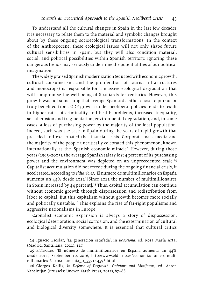To understand all the cultural changes in Spain in the last few decades it is necessary to relate them to the material and symbolic changes brought about by these ongoing socioecological transformations. In the context of the Anthropocene, these ecological issues will not only shape future cultural sensibilities in Spain, but they will also condition material, social, and political possibilities within Spanish territory. Ignoring these dangerous trends may seriously undermine the potentialities of our political imagination.

The widely praised Spanish modernization (equated with economic growth, cultural consumerism, and the proliferation of tourist infrastructures and monocrops) is responsible for a massive ecological degradation that will compromise the well-being of Spaniards for centuries. However, this growth was not something that average Spaniards either chose to pursue or truly benefited from. GDP growth under neoliberal policies tends to result in higher rates of criminality and health problems, increased inequality, social erosion and fragmentation, environmental degradation, and, in some cases, a loss of purchasing power by the majority of the local population. Indeed, such was the case in Spain during the years of rapid growth that preceded and exacerbated the financial crisis. Corporate mass media and the majority of the people uncritically celebrated this phenomenon, known internationally as the 'Spanish economic miracle'. However, during those years (1995–2005), the average Spanish salary lost 4 percent of its purchasing power and the environment was depleted on an unprecedented scale.<sup>24</sup> Capitalist accumulation did not recede during the ongoing financial crisis, it accelerated. According to *<eldiario.es>*, 'El número de multimillonarios en España aumenta un 44% desde 2011' [Since 2011 the number of multimillionaires in Spain increased by 44 percent].<sup>25</sup> Thus, capital accumulation can continue without economic growth through dispossession and redistribution from labor to capital. But this capitalism without growth becomes more socially and politically unstable.<sup>26</sup> This explains the rise of far-right populisms and aggressive nationalisms in Europe.

Capitalist economic expansion is always a story of dispossession, ecological deterioration, social corrosion, and the extermination of cultural and biological diversity somewhere. It is essential that cultural critics

24 Ignacio Escolar, 'La generación estafada', in *Reacciona*, ed. Rosa María Artal (Madrid: Santillana, 2011), 117.

25 *<Eldiario.es>*, 'El número de multimillonarios en España aumenta un 44% desde 2011', September 10, 2016, [http://www.eldiario.es/economia/numero-](http://www.eldiario.es/economia/numero)multi [millonarios-Espana-aumenta\\_0\\_557144596.html.](millonarios-Espana-aumenta_0_557144596.html)

26 Giorgos Kallis, *In Defense of Degrowth: Opinions and Minifestos*, ed. Aaron Vansintjan (Brussels: Uneven Earth Press, 2017), 87–88.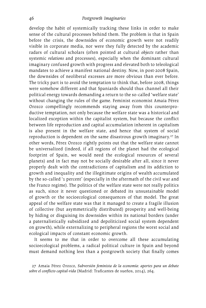develop the habit of systemically tracking these links in order to make sense of the cultural processes behind them. The problem is that in Spain before the crisis, the downsides of economic growth were not readily visible in corporate media, nor were they fully detected by the academic radars of cultural scholars (often pointed at cultural *objects* rather than systemic *relations* and processes), especially when the dominant cultural imaginary confused growth with progress and elevated both to teleological mandates to achieve a manifest national destiny. Now, in post-2008 Spain, the downsides of neoliberal excesses are more obvious than ever before. The tricky part is to avoid the temptation to think that, before 2008, things were somehow different and that Spaniards should thus channel all their political energy towards demanding a return to the so-called 'welfare state' without changing the rules of the game. Feminist economist Amaia Pérez Orozco compellingly recommends staying away from this counterproductive temptation, not only because the welfare state was a historical and localized exception within the capitalist system, but because the conflict between life reproduction and capital accumulation inherent in capitalism is also present in the welfare state, and hence that system of social reproduction is dependent on the same disastrous growth imaginary.<sup>27</sup> In other words, Pérez Orozco rightly points out that the welfare state cannot be universalized (indeed, if all regions of the planet had the ecological footprint of Spain, we would need the ecological resources of several planets) and in fact may not be socially desirable after all, since it never properly dealt with the contradictions of capitalism and its addiction to growth and inequality and the illegitimate origins of wealth accumulated by the so-called '1 percent' (especially in the aftermath of the civil war and the Franco regime). The politics of the welfare state were not really politics as such, since it never questioned or debated its unsustainable model of growth or the socioecological consequences of that model. The great appeal of the welfare state was that it managed to create a fragile illusion of collective (but asymmetrically distributed) prosperity and well-being by hiding or disguising its downsides within its national borders (under a paternalistically subsidized and depoliticized social system dependent on growth), while externalizing to peripheral regions the worst social and ecological impacts of constant economic growth.

It seems to me that in order to overcome all these accumulating socioecological problems, a radical political culture in Spain and beyond must demand nothing less than a postgrowth society that finally comes

27 Amaia Pérez Orozco, *Subversión feminista de la economía: aportes para un debate sobre el conflicto capital-vida* (Madrid: Traficantes de sueños, 2014), 264.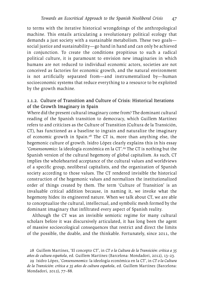to terms with the iterative historical wrongdoings of the anthropological machine. This entails articulating a revolutionary political ecology that demands a just society with a sustainable metabolism. These two goals social justice and sustainability—go hand in hand and can only be achieved in conjunction. To create the conditions propitious to such a radical political culture, it is paramount to envision new imaginaries in which humans are not reduced to individual economic actors, societies are not conceived as factories for economic growth, and the natural environment is not artificially separated from—and instrumentalized by—human socioeconomic systems that reduce everything to a resource to be exploited by the growth machine.

### 1.1.2. Culture of Transition and Culture of Crisis: Historical Iterations of the Growth Imaginary in Spain

Where did the present cultural imaginary come from? The dominant cultural reading of the Spanish transition to democracy, which Guillem Martínez refers to and criticizes as the Culture of Transition (Cultura de la Transición, CT), has functioned as a baseline to ingrain and naturalize the imaginary of economic growth in Spain.28 The CT is, more than anything else, the hegemonic culture of growth. Isidro López clearly explains this in his essay '*Consensonomics*: la ideología económica en la CT'.29 The CT is nothing but the Spanish version of the cultural hegemony of global capitalism. As such, CT implies the wholehearted acceptance of the cultural values and worldviews of a specific group, neoliberal capitalists, and the organization of Spanish society according to those values. The CT rendered invisible the historical construction of the hegemonic values and normalizes the institutionalized order of things created by them. The term 'Culture of Transition' is an invaluable critical addition because, in naming it, we invoke what the hegemony hides: its engineered nature. When we talk about CT, we are able to conceptualize the cultural, intellectual, and symbolic mesh formed by the dominant imaginary that infiltrated every aspect of Spanish reality.

Although the CT was an invisible semiotic regime for many cultural scholars before it was discursively articulated, it has long been the agent of massive socioecological consequences that restrict and direct the limits of the possible, the doable, and the thinkable. Fortunately, since 2011, the

29 Isidro López, '*Consensonomics*: la ideología económica en la CT', in *CT o la Cultura de la Transición: crítica a 35 años de cultura española*, ed. Guillem Martínez (Barcelona: Mondadori, 2012), 77–88.

<sup>28</sup> Guillem Martínez, 'El concepto CT', in *CT o la Cultura de la Transición: crítica a 35 años de cultura española*, ed. Guillem Martínez (Barcelona: Mondadori, 2012), 13–23*.*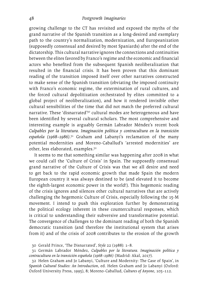growing challenge to the CT has revisited and exposed the myths of the grand narrative of the Spanish transition as a long-desired and exemplary path to the country's normalization, modernization, and Europeanization (supposedly consensual and desired by most Spaniards) after the end of the dictatorship. This cultural narrative ignores the connections and continuities between the elites favored by Franco's regime and the economic and financial actors who benefited from the subsequent Spanish neoliberalization that resulted in the financial crisis. It has been proven that this dominant reading of the transition imposed itself over other narratives constructed to make sense of the Spanish transition (obviating the imposed continuity with Franco's economic regime, the extermination of rural cultures, and the forced cultural depolitization orchestrated by elites committed to a global project of neoliberalization), and how it rendered invisible other cultural sensibilities of the time that did not match the preferred cultural narrative. These 'disnarrated'<sup>30</sup> cultural modes are heterogeneous and have been identified by several cultural scholars. The most comprehensive and interesting example is arguably Germán Labrador Méndez's recent book *Culpables por la literatura. Imaginación política y contracultura en la transición española (1968–1986)*. 31 Graham and Labanyi's reclamation of the many potential modernities and Moreno-Caballud's 'arrested modernities' are other, less elaborated, examples.32

It seems to me that something similar was happening after 2008 in what we could call the 'Culture of Crisis' in Spain. The supposedly consensual grand narrative of the Culture of Crisis was that we all desire and need to get back to the rapid economic growth that made Spain the modern European country it was always destined to be (and elevated it to become the eighth-largest economic power in the world!). This hegemonic reading of the crisis ignores and silences other cultural narratives that are actively challenging the hegemonic Culture of Crisis, especially following the 15-M movement. I intend to push this exploration further by demonstrating the political ecology inherent in these countercultural responses, which is critical to understanding their subversive and transformative potential. The convergence of challenges to the dominant reading of both the Spanish democratic transition (and therefore the institutional system that arises from it) and of the crisis of 2008 contributes to the erosion of the growth

<sup>30</sup> Gerald Prince, 'The Disnarrated', *Style* 22 (1988): 1–8.

<sup>31</sup> Germán Labrador Méndez, *Culpables por la literatura. Imaginación política y contracultura en la transición española (1968–1986)* (Madrid: Akal, 2017).

<sup>32</sup> Helen Graham and Jo Labanyi, 'Culture and Modernity: The Case of Spain', in *Spanish Cultural Studies: An Introduction*, ed. Helen Graham and Jo Labanyi (Oxford: Oxford University Press, 1995), 8; Moreno-Caballud, *Cultures of Anyone*, 105–112.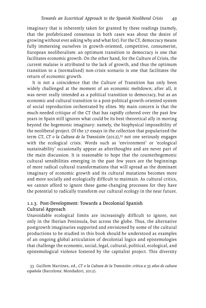imaginary that is inherently taken for granted by these readings (namely, that the prefabricated consensus in both cases was about the desire of growing without ever asking why and what for). For the CT, democracy means fully immersing ourselves in growth-oriented, competitive, consumerist, European neoliberalism: an optimum transition to democracy is one that facilitates economic growth. On the other hand, for the Culture of Crisis, the current malaise is attributed to the lack of growth, and thus the optimum transition to a (normalized) non-crisis scenario is one that facilitates the return of economic growth.

It is not a coincidence that the Culture of Transition has only been widely challenged at the moment of an economic meltdown; after all, it was never really intended as a political transition to democracy, but as an economic and cultural transition to a post-political growth-oriented system of social reproduction orchestrated by elites. My main concern is that the much-needed critique of the CT that has rapidly cohered over the past few years in Spain still ignores what could be its best theoretical ally in moving beyond the hegemonic imaginary: namely, the biophysical impossibility of the neoliberal project. Of the 17 essays in the collection that popularized the term CT, *CT o la Cultura de la Transición* (2012),33 not one seriously engages with the ecological crisis. Words such as 'environment' or 'ecological sustainability' occasionally appear as afterthoughts and are never part of the main discussion. It is reasonable to hope that the counterhegemonic cultural sensibilities emerging in the past few years are the beginnings of more radical cultural transformations that will spread as the dominant imaginary of economic growth and its cultural mutations becomes more and more socially and ecologically difficult to maintain. As cultural critics, we cannot afford to ignore these game-changing processes for they have the potential to radically transform our cultural ecology in the near future.

# 1.1.3. Post-Development: Towards a Decolonial Spanish Cultural Approach

Unavoidable ecological limits are increasingly difficult to ignore, not only in the Iberian Peninsula, but across the globe. Thus, the alternative postgrowth imaginaries supported and envisioned by some of the cultural productions to be studied in this book should be understood as examples of an ongoing global articulation of decolonial logics and epistemologies that challenge the economic, social, legal, cultural, political, ecological, and epistemological violence fostered by the capitalist project. This diversity

33 Guillem Martínez, ed., *CT o la Cultura de la Transición: crítica a 35 años de cultura española* (Barcelona: Mondadori, 2012).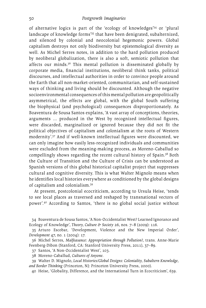of alternative logics is part of the 'ecology of knowledges'34 or 'plural landscape of knowledge forms'35 that have been denigrated, subalternized, and silenced by colonial and neocolonial hegemonic powers. Global capitalism destroys not only biodiversity but epistemological diversity as well. As Michel Serres notes, in addition to the hard pollution produced by neoliberal globalization, there is also a soft, semiotic pollution that affects our minds.36 This mental pollution is disseminated globally by corporate media, financial institutions, neoliberal think tanks, political discourses, and intellectual authorities in order to convince people around the Earth that all non-market-oriented, communitarian, and self-sustained ways of thinking and living should be discounted. Although the negative socioenvironmental consequences of this mental pollution are geopolitically asymmetrical, the effects are global, with the global South suffering the biophysical (and psychological) consequences disproportionately. As Boaventura de Sousa Santos explains, 'A vast array of conceptions, theories, arguments … produced in the West by recognized intellectual figures, were discarded, marginalized or ignored because they did not fit the political objectives of capitalism and colonialism at the roots of Western modernity'.37 And if well-known intellectual figures were discounted, we can only imagine how easily less-recognized individuals and communities were excluded from the meaning-making process, as Moreno-Caballud so compellingly shows regarding the recent cultural history of Spain.38 Both the Culture of Transition and the Culture of Crisis can be understood as Spanish versions of this global historical capitalist project that suppresses cultural and cognitive diversity. This is what Walter Mignolo means when he identifies local histories everywhere as conditioned by the global designs of capitalism and colonialism.39

At present, postcolonial ecocriticism, according to Ursula Heise, 'tends to see local places as traversed and reshaped by transnational vectors of power'.40 According to Santos, 'there is no global social justice without

- 37 Santos, 'A Non-Occidentalist West', 103.
- 38 Moreno-Caballud, *Cultures of Anyone*.
- 39 Walter D. Mignolo, *Local Histories/Global Designs: Coloniality, Subaltern Knowledge, and Border Thinking* (Princeton, NJ: Princeton University Press, 2000).
	- 40 Heise, 'Globality, Difference, and the International Turn in Ecocriticism', 639.

<sup>34</sup> Boaventura de Sousa Santos, 'A Non-Occidentalist West? Learned Ignorance and Ecology of Knowledge', *Theory, Culture & Society* 26, nos. 7–8 (2009): 116.

<sup>35</sup> Arturo Escobar, 'Development, Violence and the New Imperial Order', *Development* 47, no. 1 (2004): 17.

<sup>36</sup> Michel Serres, *Malfeasance: Appropriation through Pollution?*, trans. Anne-Marie Feenberg-Dibon (Stanford, CA: Stanford University Press, 2011), 37–89.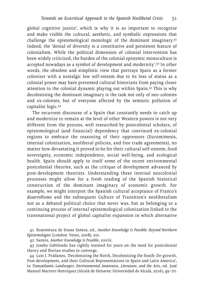global cognitive justice', which is why it is so important to recognize and make visible the cultural, aesthetic, and symbolic expressions that challenge the epistemological monologic of the dominant imaginary.41 Indeed, the 'denial of diversity is a constitutive and persistent feature of colonialism. While the political dimension of colonial intervention has been widely criticized, the burden of the colonial epistemic monoculture is accepted nowadays as a symbol of development and modernity'.42 In other words, the obsolete and simplistic view that portrays Spain as a former colonizer with a nostalgic low self-esteem due to its loss of status as a colonial power may have prevented cultural historians from paying closer attention to the colonial dynamic playing out within Spain.43 This is why decolonizing the dominant imaginary is the task not only of neo-colonies and ex-colonies, but of everyone affected by the semiotic pollution of capitalist logic.44

The recurrent discourse of a Spain that constantly needs to catch up and modernize to remain at the level of other Western powers is not very different from the process, well researched by postcolonial scholars, of epistemological (and financial) dependency that convinced ex-colonial regions to embrace the reasoning of their oppressors (Euromimesis, internal colonization, neoliberal policies, and free trade agreements), no matter how devastating it proved to be for their cultural self-esteem, food sovereignty, economic independence, social well-being, and ecological health. Spain should apply to itself some of the recent environmental postcolonial theories, such as the critique of development advanced by post-development theorists. Understanding these internal neocolonial processes might allow for a fresh reading of the Spanish historical construction of the dominant imaginary of economic growth. For example, we might interpret the Spanish cultural acceptance of Franco's *desarrollismo* and the subsequent Culture of Transition's neoliberalism not as a debated political choice that never was, but as belonging to a continuing process of internal epistemological colonization linked to the transnational project of global capitalist expansion in which alternative

41 Boaventura de Sousa Santos, ed., *Another Knowledge Is Possible: Beyond Northern Epistemologies* (London: Verso, 2008), xix.

42 Santos, *Another Knowledge Is Possible*, xxxiii.

43 Joseba Gabilondo has rightly insisted for years on the need for postcolonial theory and Iberian studies to converge.

44 Luis I. Prádanos, 'Decolonizing the North, Decolonizing the South: De-growth, Post-development, and their Cultural Representations in Spain and Latin America', in *Transatlantic Landscapes: Environmental Awareness, Literature, and the Arts*, ed. José Manuel Marrero Henríquez (Alcalá de Henares: Universidad de Alcalá, 2016), 49–70.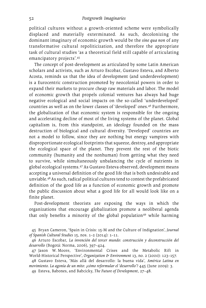political cultures without a growth-oriented scheme were symbolically displaced and materially exterminated. As such, decolonizing the dominant imaginary of economic growth would be the *sine qua non* of any transformative cultural repoliticization, and therefore the appropriate task of cultural studies 'as a theoretical field still capable of articulating emancipatory projects'.45

The concept of post-development as articulated by some Latin American scholars and activists, such as Arturo Escobar, Gustavo Esteva, and Alberto Acosta, reminds us that the idea of development (and underdevelopment) is a Eurocentric construction promoted by neocolonial powers in order to expand their markets to procure cheap raw materials and labor. The model of economic growth that propels colonial ventures has always had huge negative ecological and social impacts on the so-called 'underdeveloped' countries as well as on the lower classes of 'developed' ones.46 Furthermore, the globalization of that economic system is responsible for the ongoing and accelerating decline of most of the living systems of the planet. Global capitalism is, from this standpoint, an ideology founded on the mass destruction of biological and cultural diversity. 'Developed' countries are not a model to follow, since they are nothing but energy vampires with disproportionate ecological footprints that squeeze, destroy, and appropriate the ecological space of the planet. They prevent the rest of the biotic community (humanity and the nonhuman) from getting what they need to survive, while simultaneously unbalancing the cycle of nutrients in global ecological systems.47 As Gustavo Esteva observed, development means accepting a universal definition of the good life that is both undesirable and unviable.48 As such, radical political cultures tend to contest the prefabricated definition of the good life as a function of economic growth and promote the public discussion about what a good life for all would look like on a finite planet.

Post-development theorists are exposing the ways in which the organizations that encourage globalization promote a neoliberal agenda that only benefits a minority of the global population<sup>49</sup> while harming

45 Bryan Cameron, 'Spain in Crisis: 15-M and the Culture of Indignation', *Journal of Spanish Cultural Studies* 15, nos. 1–2 (2014): 1–11.

46 Arturo Escobar, *La invención del tercer mundo: construcción y deconstrucción del desarrollo* (Bogotá: Norma, 2006), 397–424.

47 Jason W. Moore, 'Environmental Crises and the Metabolic Rift in World-Historical Perspective', *Organization & Environment* 13, no. 2 (2000): 123–157.

48 Gustavo Esteva, 'Más allá del desarrollo: la buena vida', *América Latina en movimiento. La agonía de un mito: ¿cómo reformular el 'desarrollo'?* 445 (June 2009): 3.

49 Esteva, Babones, and Babcicky, *The Future of Development*, 27–48.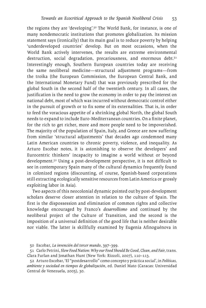the regions they are 'developing'.50 The World Bank, for instance, is one of many nondemocratic institutions that promotes globalization. Its mission statement says (ironically) that its main goal is to reduce poverty by helping 'underdeveloped countries' develop. But on most occasions, when the World Bank actively intervenes, the results are extreme environmental destruction, social degradation, precariousness, and enormous debt.<sup>51</sup> Interestingly enough, Southern European countries today are receiving the same neoliberal medicine—structural adjustment programs—from the troika (the European Commission, the European Central Bank, and the International Monetary Fund) that was previously prescribed for the global South in the second half of the twentieth century. In all cases, the justification is the need to grow the economy in order to pay the interest on national debt, most of which was incurred without democratic control either in the pursuit of growth or to fix some of its externalities. That is, in order to feed the voracious appetite of a shrinking global North, the global South needs to expand to include Euro-Mediterranean countries. On a finite planet, for the rich to get richer, more and more people need to be impoverished. The majority of the population of Spain, Italy, and Greece are now suffering from similar 'structural adjustments' that decades ago condemned many Latin American countries to chronic poverty, violence, and inequality. As Arturo Escobar notes, it is astonishing to observe the developers' and Eurocentric thinkers' incapacity to imagine a world without or beyond development.52 Using a post-development perspective, it is not difficult to see in contemporary Spain many of the cultural dynamics frequently found in colonized regions (discounting, of course, Spanish-based corporations still extracting ecologically sensitive resources from Latin America or grossly exploiting labor in Asia).

Two aspects of this neocolonial dynamic pointed out by post-development scholars deserve closer attention in relation to the culture of Spain. The first is the dispossession and elimination of common rights and collective knowledge encouraged by Franco's *desarrollismo* and continued by the neoliberal project of the Culture of Transition, and the second is the imposition of a universal definition of the good life that is neither desirable nor viable. The latter is skillfully examined by Eugenia Afinoguénova in

52 Arturo Escobar, 'El "postdesarrollo" como concepto y práctica social', in *Políticas, ambiente y sociedad en tiempos de globalización*, ed. Daniel Mato (Caracas: Universidad Central de Venezuela, 2005), 30.

<sup>50</sup> Escobar, *La invención del tercer mundo*, 397–399.

<sup>51</sup> Carlo Petrini, *Slow Food Nation: Why our Food Should Be Good, Clean, and Fair*, trans. Clara Furlan and Jonathan Hunt (New York: Rizzoli, 2007), 110–113.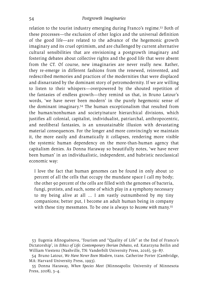relation to the tourist industry emerging during Franco's regime.53 Both of these processes—the exclusion of other logics and the universal definition of the good life—are related to the advance of the hegemonic growth imaginary and its cruel optimism, and are challenged by current alternative cultural sensibilities that are envisioning a postgrowth imaginary and fostering debates about collective rights and the good life that were absent from the CT. Of course, new imaginaries are never really new. Rather, they re-emerge in different fashions from the renewed, reinvented, and redescribed memories and practices of the modernities that were displaced and disnarrated by the dominant story of petromodernity. If we are willing to listen to their whispers—overpowered by the shouted repetition of the fantasies of endless growth—they remind us that, in Bruno Latour's words, 'we have never been modern' in the purely hegemonic sense of the dominant imaginary.54 The human exceptionalism that resulted from the human/nonhuman and society/nature hierarchical divisions, which justifies all colonial, capitalist, individualist, patriarchal, anthropocentric, and neoliberal fantasies, is an unsustainable illusion with devastating material consequences. For the longer and more convincingly we maintain it, the more easily and dramatically it collapses, rendering more visible the systemic human dependency on the more-than-human agency that capitalism denies. As Donna Haraway so beautifully notes, 'we have never been human' in an individualistic, independent, and hubristic neoclassical economic way:

I love the fact that human genomes can be found in only about 10 percent of all the cells that occupy the mundane space I call my body; the other 90 percent of the cells are filled with the genomes of bacteria, fungi, protists, and such, some of which play in a symphony necessary to my being alive at all … I am vastly outnumbered by my tiny companions; better put, I become an adult human being in company with these tiny messmates. To be one is always to *become with* many.55

53 Eugenia Afinoguénova, 'Tourism and "Quality of Life" at the End of Franco's Dictatorship', in *Ethics of Life: Contemporary Iberian Debates*, ed. Katarzyna Beilin and William Viestenz (Nashville, TN: Vanderbilt University Press, 2016), 59–87.

54 Bruno Latour, *We Have Never Been Modern*, trans. Catherine Porter (Cambridge, MA: Harvard University Press, 1993).

55 Donna Haraway, *When Species Meet* (Minneapolis: University of Minnesota Press, 2008), 3–4.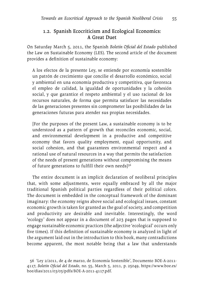#### 1.2. Spanish Ecocriticism and Ecological Economics: A Great Duet

On Saturday March 5, 2011, the Spanish *Boletín Oficial del Estado* published the Law on Sustainable Economy (LES). The second article of the document provides a definition of sustainable economy:

A los efectos de la presente Ley, se entiende por economía sostenible un patrón de crecimiento que concilie el desarrollo económico, social y ambiental en una economía productiva y competitiva, que favorezca el empleo de calidad, la igualdad de oportunidades y la cohesión social, y que garantice el respeto ambiental y el uso racional de los recursos naturales, de forma que permita satisfacer las necesidades de las generaciones presentes sin comprometer las posibilidades de las generaciones futuras para atender sus propias necesidades.

[For the purposes of the present Law, a sustainable economy is to be understood as a pattern of growth that reconciles economic, social, and environmental development in a productive and competitive economy that favors quality employment, equal opportunity, and social cohesion, and that guarantees environmental respect and a rational use of natural resources in a way that permits the satisfaction of the needs of present generations without compromising the means of future generations to fulfill their own needs] $56$ 

The entire document is an implicit declaration of neoliberal principles that, with some adjustments, were equally embraced by all the major traditional Spanish political parties regardless of their political colors. The document is embedded in the conceptual framework of the dominant imaginary: the economy reigns above social and ecological issues, constant economic growth is taken for granted as the goal of society, and competition and productivity are desirable and inevitable. Interestingly, the word 'ecology' does not appear in a document of 203 pages that is supposed to engage sustainable economic practices (the adjective 'ecological' occurs only five times). If this definition of sustainable economy is analyzed in light of the argument laid out in the introduction to this book, many contradictions become apparent, the most notable being that a law that understands

<sup>56</sup> 'Ley 2/2011, de 4 de marzo, de Economía Sostenible', Documento BOE-A-2011- 4117, *Boletín Oficial del Estado*, no. 55, March 5, 2011, p. 25049, [https://www.boe.es/](https://www.boe.es/boe/dias/2011/03/05/pdfs/BOE-A-2011-4117.pdf) [boe/dias/2011/03/05/pdfs/BOE-A-2011-4117.pdf.](https://www.boe.es/boe/dias/2011/03/05/pdfs/BOE-A-2011-4117.pdf)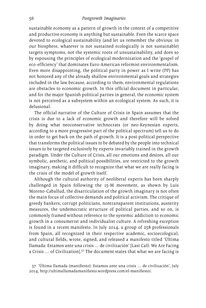sustainable economy as a pattern of growth in the context of a competitive and productive economy is anything but sustainable. Even the scarce space devoted to ecological sustainability (and let us remember the obvious: in our biosphere, whatever is not sustained ecologically is not sustainable) targets symptoms, not the systemic roots of unsustainability, and does so by espousing the principles of ecological modernization and the 'gospel of eco-efficiency' that dominates Euro-American reformist environmentalism. Even more disappointing, the political party in power as I write (PP) has not honored any of the already shallow environmental goals and strategies included in the law because, according to them, environmental regulations are obstacles to economic growth. In this official document in particular, and for the major Spanish political parties in general, the economic system is not perceived as a subsystem within an ecological system. As such, it is delusional.

The official narrative of the Culture of Crisis in Spain assumes that the crisis is due to a lack of economic growth and therefore will be solved by doing what neoconservative technocrats (or neo-Keynesian experts, according to a more progressive part of the political spectrum) tell us to do in order to get back on the path of growth. It is a post-political perspective that transforms the political issues to be debated by the people into technical issues to be targeted exclusively by experts invariably trained in the growth paradigm. Under the Culture of Crisis, all our emotions and desires, all our symbolic, aesthetic, and political possibilities, are restricted to the growth imaginary, making it difficult to recognize that what we are really facing is the crisis of the model of growth itself.

Although the cultural authority of neoliberal experts has been sharply challenged in Spain following the 15-M movement, as shown by Luis Moreno-Caballud, the disarticulation of the growth imaginary is not often the main focus of collective demands and political activism. The critique of greedy bankers, corrupt politicians, nontransparent institutions, austerity measures, the undemocratic structure of political parties, and so on, is commonly framed without reference to the systemic addiction to economic growth in a consumerist and individualist culture. A refreshing exception is found in a recent manifesto. In July 2014, a group of 258 professionals from Spain, all recognized in their respective academic, socioecological, and cultural fields, wrote, signed, and released a manifesto titled 'Última llamada: Estamos ante una crisis … de civilización' [Last Call: We Are Facing a Crisis … of Civilization].57 The document states that what we are facing is

57 'Última llamada (manifiesto): Estamos ante una crisis … de civilización', July 2014, [http://ultimallamadamanifiesto.wordpress.com/el-](http://ultimallamadamanifiesto.wordpress.com/el)manifiesto/.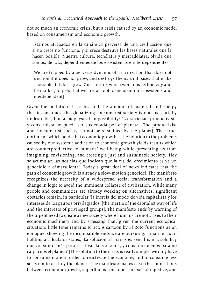not so much an economic crisis, but a crisis caused by an economic model based on consumerism and economic growth:

Estamos atrapados en la dinámica perversa de una civilización que si no crece no funciona, y si crece destruye las bases naturales que la hacen posible. Nuestra cultura, tecnólatra y mercadólatra, olvida que somos, de raíz, dependientes de los ecosistemas e interdependientes.

[We are trapped by a perverse dynamic of a civilization that does not function if it does not grow, and destroys the natural bases that make it possible if it does grow. Our culture, which worships technology and the market, forgets that we are, at root, dependent on ecosystems and interdependent]

Given the pollution it creates and the amount of material and energy that it consumes, the globalizing consumerist society is not just socially undesirable, but a biophysical impossibility: 'La sociedad productivista y consumista no puede ser sustentada por el planeta' [The productivist and consumerist society cannot be sustained by the planet]. The 'cruel optimism' which holds that economic growth is the solution to the problems caused by our systemic addiction to economic growth yields results which are counterproductive to humans' well-being while preventing us from imagining, envisioning, and creating a just and sustainable society. 'Hoy se acumulan las noticias que indican que la vía del crecimiento es ya un genocidio a cámara lenta' [Today a great deal of news indicates that the path of economic growth is already a slow-motion genocide]. The manifesto recognizes the necessity of a widespread social transformation and a change in logic to avoid the imminent collapse of civilization. While many people and communities are already working on alternatives, significant obstacles remain, in particular 'la inercia del modo de vida capitalista y los intereses de los grupos privilegiados' [the inertia of the capitalist way of life and the interests of privileged groups]. The manifesto ends by warning of the urgent need to create a new society where humans are not slaves to their economic machinery and by stressing that, given the current ecological situation, little time remains to act. A cartoon by El Roto functions as an epilogue, showing the incompatible ends we are pursuing: a man in a suit holding a calculator states, 'La solución a la crisis es sencillísima: solo hay que consumir más para reactivar la economía, y consumir menos para no cargarnos el planeta' [The solution to the crisis is really simple: we only have to consume more in order to reactivate the economy, and to consume less so as not to destroy the planet]. The manifesto makes clear the connections between economic growth, superfluous consumerism, social injustice, and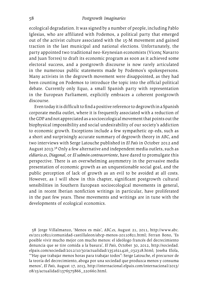ecological degradation. It was signed by a number of people, including Pablo Iglesias, who are affiliated with Podemos, a political party that emerged out of the activist culture associated with the 15-M movement and gained traction in the last municipal and national elections. Unfortunately, the party appointed two traditional neo-Keynesian economists (Vicenç Navarro and Juan Torres) to draft its economic program as soon as it achieved some electoral success, and a postgrowth discourse is now rarely articulated in the numerous public statements made by Podemos's spokespersons. Many activists in the degrowth movement were disappointed, as they had been counting on Podemos to introduce the topic into the official political debate. Currently only Equo, a small Spanish party with representation in the European Parliament, explicitly embraces a coherent postgrowth discourse.

Even today it is difficult to find a positive reference to degrowth in a Spanish corporate media outlet, where it is frequently associated with a reduction of the GDP and not appreciated as a socioecological movement that points out the biophysical impossibility and social undesirability of our society's addiction to economic growth. Exceptions include a few sympathetic op-eds, such as a short and surprisingly accurate summary of degrowth theory in *ABC*, and two interviews with Serge Latouche published in *El País* in October 2012 and August 2013.58 Only a few alternative and independent media outlets, such as *<eldiario.es>*, *Diagonal*, or *El salmón contracorriente*, have dared to promulgate this perspective. There is an overwhelming asymmetry in the pervasive media presentation of economic growth as an unquestionable social goal, and the public perception of lack of growth as an evil to be avoided at all costs. However, as I will show in this chapter, significant postgrowth cultural sensibilities in Southern European socioecological movements in general, and in recent Iberian nonfiction writings in particular, have proliferated in the past few years. These movements and writings are in tune with the developments of ecological economics.

58 Jorge Villalmanzo, 'Menos es más', *<ABC.es>*, August 21, 2011, [http://www.abc.](http://www.abc.es/20110821/comunidad-castillaleon/abcp-menos-20110821.html) [es/20110821/comunidad-castillaleon/abcp-menos-20110821.html](http://www.abc.es/20110821/comunidad-castillaleon/abcp-menos-20110821.html); Ferran Bono, 'Es posible vivir mucho mejor con mucho menos: el ideólogo francés del decrecimiento denuncia que se tire comida a la basura', *El País*, October 30, 2012, [http://sociedad.](http://sociedad.elpais.com/sociedad/2012/10/30/actualidad/1351621426_032318.html) [elpais.com/sociedad/2012/10/30/actualidad/1351621426\\_032318.html](http://sociedad.elpais.com/sociedad/2012/10/30/actualidad/1351621426_032318.html); Joseba Elola, '"Hay que trabajar menos horas para trabajar todos": Serge Latouche, el precursor de la teoría del decrecimiento, aboga por una sociedad que produzca menos y consuma menos', *El País*, August 17, 2013, <http://internacional.elpais.com/internacional/2013>/ 08/15/actualidad/[1376575866\\_220660.html](1376575866_220660.html).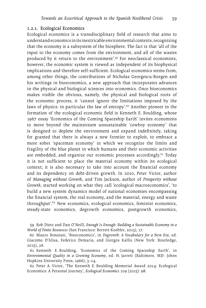#### 1.2.1. Ecological Economics

Ecological economics is a transdisciplinary field of research that aims to understand economics in its inextricable environmental contexts, recognizing that the economy is a subsystem of the biosphere. The fact is that 'all of the input to the economy comes from the environment, and all of the wastes produced by it return to the environment'.59 For neoclassical economists, however, the economic system is viewed as independent of its biophysical implications and therefore self-sufficient. Ecological economics stems from, among other things, the contributions of Nicholas Georgescu-Roegen and his writings in bioeconomics, a new approach that incorporates advances in the physical and biological sciences into economics. Once bioeconomics makes visible the obvious, namely, the physical and biological roots of the economic process, it 'cannot ignore the limitations imposed by the laws of physics: in particular the law of entropy'.<sup>60</sup> Another pioneer in the formation of the ecological economic field is Kenneth E. Boulding, whose 1967 essay 'Economics of the Coming Spaceship Earth' invites economists to move beyond the mainstream unsustainable 'cowboy economy' that is designed to deplete the environment and expand indefinitely, taking for granted that there is always a new frontier to exploit, to embrace a more sober 'spaceman economy' in which we recognize the limits and fragility of the blue planet in which humans and their economic activities are embedded, and organize our economic processes accordingly.<sup>61</sup> Today it is not sufficient to place the material economy within its ecological context; it is also necessary to take into account the financial economy and its dependency on debt-driven growth. In 2010, Peter Victor, author of *Managing without Growth*, and Tim Jackson, author of *Prosperity without Growth*, started working on what they call 'ecological macroeconomics', 'to build a new system dynamics model of national economies encompassing the financial system, the real economy, and the material, energy and waste throughput'.<sup>62</sup> New economics, ecological economics, feminist economics, steady-state economics, degrowth economics, postgrowth economics,

59 Rob Dietz and Dan O'Neill, *Enough Is Enough: Building a Sustainable Economy in a World of Finite Resources* (San Francisco: Berrett-Koehler, 2013), 17.

60 Mauro Bonaiuti, 'Bioeconomics', in *Degrowth: A Vocabulary for a New Era*, ed. Giacomo D'Alisa, Federico Demaria, and Giorgos Kallis (New York: Routledge, 2015), 26.

61 Kenneth E. Boulding, 'Economics of the Coming Spaceship Earth', in *Environmental Quality in a Growing Economy*, ed. H. Jarrett (Baltimore, MD: Johns Hopkins University Press, 1966), 3–14.

62 Peter A. Victor, 'The Kenneth E. Boulding Memorial Award 2014: Ecological Economics: A Personal Journey', *Ecological Economics* 109 (2015): 98.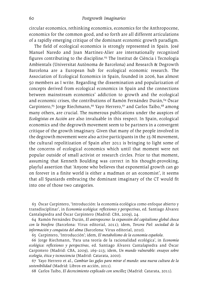circular economics, rethinking economics, economics for the Anthropocene, economics for the common good, and so forth are all different articulations of a rapidly emerging critique of the dominant economic growth paradigm.

The field of ecological economics is strongly represented in Spain. José Manuel Naredo and Joan Martínez-Alier are internationally recognized figures contributing to the discipline.<sup>63</sup> The Institut de Ciència i Tecnologia Ambientals (Universitat Autònoma de Barcelona) and Research & Degrowth Barcelona are a European hub for ecological economic research. The Association of Ecological Economics in Spain, founded in 2006, has almost 50 members as I write. Regarding the dissemination and popularization of concepts derived from ecological economics in Spain and the connections between mainstream economics' addiction to growth and the ecological and economic crises, the contributions of Ramón Fernández Durán,<sup>64</sup> Óscar Carpintero,<sup>65</sup> Jorge Riechmann,<sup>66</sup> Yayo Herrero,<sup>67</sup> and Carlos Taibo,<sup>68</sup> among many others, are crucial. The numerous publications under the auspices of *Ecologistas en Acción* are also invaluable in this respect. In Spain, ecological economics and the degrowth movement seem to be partners in a convergent critique of the growth imaginary. Given that many of the people involved in the degrowth movement were also active participants in the 15-M movement, the cultural repolitization of Spain after 2011 is bringing to light some of the concerns of ecological economics which until that moment were not popular outside of small activist or research circles. Prior to that moment, assuming that Kenneth Boulding was correct in his thought-provoking, playful assertion that 'Anyone who believes that exponential growth can go on forever in a finite world is either a madman or an economist', it seems that all Spaniards embracing the dominant imaginary of the CT would fit into one of those two categories.

63 Óscar Carpintero, 'Introducción: la economía ecológica como enfoque abierto y transdisciplinar', in *Economía ecológica: reflexiones y perspectivas*, ed. Santiago Álvarez Cantalapiedra and Óscar Carpintero (Madrid: CBA, 2009), 24.

64 Ramón Fernández Durán, *El antropoceno: la expansión del capitalismo global choca con la biosfera* (Barcelona: Virus editorial, 2011); idem, *Tercera Piel: sociedad de la información y conquista del alma* (Barcelona: Virus editorial, 2010).

65 Carpintero, 'Introducción'; idem, *El metabolismo de la economía española*.

66 Jorge Riechmann, 'Para una teoría de la racionalidad ecológica', in *Economía ecológica: reflexiones y perspectivas*, ed. Santiago Álvarez Cantalapiedra and Óscar Carpintero (Madrid: CBA, 2009), 169–213; idem, *Un mundo vulnerable: ensayos sobre ecología, ética y tecnociencia* (Madrid: Catarata, 2000).

67 Yayo Herrero et al., *Cambiar las gafas para mirar el mundo: una nueva cultura de la sostenibilidad* (Madrid: Libros en acción, 2011).

68 Carlos Taibo, *El decrecimiento explicado con sencillez* (Madrid: Catarata, 2011).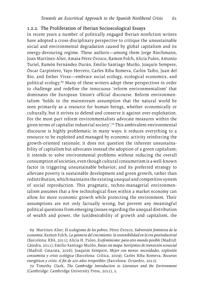#### 1.2.2. The Proliferation of Iberian Socioecological Essays

In recent years a number of politically engaged Iberian nonfiction writers have adopted a cross-disciplinary perspective to critique the unsustainable social and environmental degradation caused by global capitalism and its energy-devouring regime. These authors—among them Jorge Riechmann, Joan Martínez-Alier, Amaia Pérez Orozco, Ramon Folch, Alicia Puleo, Antonio Turiel, Ramón Fernández Durán, Emilio Santiago Muíño, Joaquín Sempere, Óscar Carpintero, Yayo Herrero, Carles Riba Romeva, Carlos Taibo, Juan del Río, and Esther Vivas—embrace social ecology, ecological economics, and political ecology.69 Many of these writers adopt these perspectives in order to challenge and redefine the innocuous 'reform environmentalism' that dominates the European Union's official discourse. Reform environmentalism 'holds to the mainstream assumption that the natural world be seen primarily as a resource for human beings, whether economically or culturally, but it strives to defend and conserve it against over-exploitation. For the most part reform environmentalists advocate measures within the given terms of capitalist industrial society'.70 This ambivalent environmental discourse is highly problematic in many ways: it reduces everything to a resource to be exploited and managed by economic activity reinforcing the growth-oriented rationale; it does not question the inherent unsustainability of capitalism but advocates instead the adoption of a green capitalism; it intends to solve environmental problems without reducing the overall consumption of societies, even though cultural consumerism is a well-known factor in triggering unsustainable behavior; and its preferred strategy to alleviate poverty is sustainable development and green growth, rather than redistribution, which maintains the existing unequal and competitive system of social reproduction. This pragmatic, techno-managerial environmentalism assumes that a few technological fixes within a market economy can allow for more economic growth while protecting the environment. Their assumptions are not only factually wrong, but prevent any meaningful political questions from emerging (issues regarding the unequal distribution of wealth and power, the (un)desirability of growth and capitalism, the

69 Martínez-Alier, *El ecologismo de los pobres*; Pérez Orozco, *Subversión feminista de la economía*; Ramon Folch, *La quimera del crecimiento: la sostenibilidad en la era postindustrial* (Barcelona: RBA, 2011); Alicia H. Puleo, *Ecofeminismo: para otro mundo posible* (Madrid: Cátedra, 2011); Emilio Santiago Muíño, *Rutas sin mapa: horizontes de transición ecosocial* (Madrid: Catarata, 2016); Joaquim Sempere, *Mejor con menos: necesidades, explosión consumista y crisis ecológica* (Barcelona: Crítica, 2009); Carles Riba Romeva, *Recursos energéticos y crisis: el fin de 200 años irrepetibles* (Barcelona: Octaedro, 2012).

70 Timothy Clark, *The Cambridge Introduction to Literature and the Environment* (Cambridge: Cambridge University Press, 2011), 2.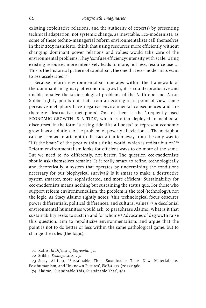existing exploitative relations, and the authority of experts) by presenting technical adaptation, not systemic change, as inevitable. Eco-modernists, as some of these techno-managerial reform environmentalists call themselves in their 2015 manifesto, think that using resources more efficiently without changing dominant power relations and values would take care of the environmental problems. They 'confuse efficiency/intensity with scale. Using existing resources more intensively leads to more, not less, resource use … This is the historical pattern of capitalism, the one that eco-modernists want to see accelerated'.71

Because reform environmentalism operates within the framework of the dominant imaginary of economic growth, it is counterproductive and unable to solve the socioecological problems of the Anthropocene. Arran Stibbe rightly points out that, from an ecolinguistic point of view, some pervasive metaphors have negative environmental consequences and are therefore 'destructive metaphors'. One of them is the 'frequently used ECONOMIC GROWTH IS A TIDE', which is often deployed in neoliberal discourses 'in the form "a rising tide lifts all boats" to represent economic growth as a solution to the problem of poverty alleviation … The metaphor can be seen as an attempt to distract attention away from the only way to "lift the boats" of the poor within a finite world, which is redistribution'.<sup>72</sup> Reform environmentalism looks for efficient ways to do more of the same. But we need to do differently, not better. The question eco-modernists should ask themselves remains: Is it really smart to refine, technologically and theoretically, a system that operates by undermining the conditions necessary for our biophysical survival? Is it smart to make a destructive system smarter, more sophisticated, and more efficient? Sustainability for eco-modernists means nothing but sustaining the status quo. For those who support reform environmentalism, the problem is the tool (technology), not the logic. As Stacy Alaimo rightly notes, 'this technological focus obscures power differentials, political differences, and cultural values'.73 A decolonial environmental humanities would ask, to paraphrase Alaimo, What is it that sustainability seeks to sustain and for whom?74 Advocates of degrowth raise this question, aim to repoliticize environmentalism, and argue that the point is not to do better or less within the same pathological game, but to change the rules (the logic).

71 Kallis, *In Defense of Degrowth*, 52.

72 Stibbe, *Ecolinguistics*, 73.

73 Stacy Alaimo, 'Sustainable This, Sustainable That: New Materialisms, Posthumanism, and Unknown Futures', *PMLA* 127 (2012): 560.

74 Alaimo, 'Sustainable This, Sustainable That', 562.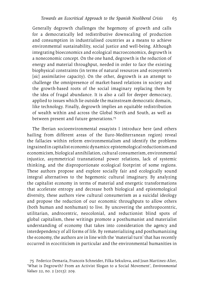Generally degrowth challenges the hegemony of growth and calls for a democratically led redistributive downscaling of production and consumption in industrialised countries as a means to achieve environmental sustainability, social justice and well-being. Although integrating bioeconomics and ecological macroeconomics, degrowth is a noneconomic concept. On the one hand, degrowth is the reduction of energy and material throughput, needed in order to face the existing biophysical constraints (in terms of natural resources and ecosystem's [sic] assimilative capacity). On the other, degrowth is an attempt to challenge the omnipresence of market-based relations in society and the growth-based roots of the social imaginary replacing them by the idea of frugal abundance. It is also a call for deeper democracy, applied to issues which lie outside the mainstream democratic domain, like technology. Finally, degrowth implies an equitable redistribution of wealth within and across the Global North and South, as well as between present and future generations.75

The Iberian socioenvironmental essayists I introduce here (and others hailing from different areas of the Euro-Mediterranean region) reveal the fallacies within reform environmentalism and identify the problems ingrained in capitalist economic dynamics: epistemological reductionism and economicism, biological annihilation, cultural consumerism, environmental injustice, asymmetrical transnational power relations, lack of systemic thinking, and the disproportionate ecological footprint of some regions. These authors propose and explore socially fair and ecologically sound integral alternatives to the hegemonic cultural imaginary. By analyzing the capitalist economy in terms of material and energetic transformations that accelerate entropy and decrease both biological and epistemological diversity, these authors view cultural consumerism as a suicidal ideology and propose the reduction of our economic throughputs to allow others (both human and nonhuman) to live. By uncovering the anthropocentric, utilitarian, androcentric, neocolonial, and reductionist blind spots of global capitalism, these writings promote a posthumanist and materialist understanding of economy that takes into consideration the agency and interdependency of all forms of life. By rematerializing and posthumanizing the economy, the authors are in line with the 'material turn' that has recently occurred in ecocriticism in particular and the environmental humanities in

<sup>75</sup> Federico Demaria, Francois Schneider, Filka Sekulova, and Joan Martinez-Alier, 'What is Degrowth? From an Activist Slogan to a Social Movement', *Environmental Values* 22, no. 2 (2013): 209.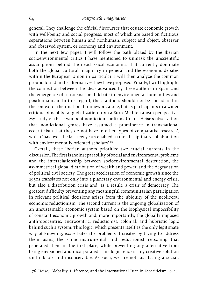general. They challenge the official discourses that equate economic growth with well-being and social progress, most of which are based on fictitious separations between human and nonhuman, subject and object, observer and observed system, or economy and environment.

In the next few pages, I will follow the path blazed by the Iberian socioenvironmental critics I have mentioned to unmask the unscientific assumptions behind the neoclassical economics that currently dominate both the global cultural imaginary in general and the economic debates within the European Union in particular. I will then analyze the common ground found in the alternatives they have proposed. Finally, I will highlight the connection between the ideas advanced by these authors in Spain and the emergence of a transnational debate in environmental humanities and posthumanism. In this regard, these authors should not be considered in the context of their national framework alone, but as participants in a wider critique of neoliberal globalization from a Euro-Mediterranean perspective. My study of these works of nonfiction confirms Ursula Heise's observation that 'nonfictional genres have assumed a prominence in transnational ecocriticism that they do not have in other types of comparatist research', which 'has over the last few years enabled a transdisciplinary collaboration with environmentally oriented scholars'.76

Overall, these Iberian authors prioritize two crucial currents in the discussion. The first is the inseparability of social and environmental problems and the interrelationship between socioenvironmental destruction, the asymmetrical global distribution of wealth and power, and the degradation of political civil society. The great acceleration of economic growth since the 1950s translates not only into a planetary environmental and energy crisis, but also a distribution crisis and, as a result, a crisis of democracy. The greatest difficulty preventing any meaningful communitarian participation in relevant political decisions arises from the ubiquity of the neoliberal economic reductionism. The second current is the ongoing globalization of an unsustainable economic system based on the biophysical impossibility of constant economic growth and, more importantly, the globally imposed anthropocentric, androcentric, reductionist, colonial, and hubristic logic behind such a system. This logic, which presents itself as the only legitimate way of knowing, exacerbates the problems it creates by trying to address them using the same instrumental and reductionist reasoning that generated them in the first place, while preventing any alternative from being envisioned and incorporated. This logic renders any creative solution unthinkable and inconceivable. As such, we are not just facing a social,

76 Heise, 'Globality, Difference, and the International Turn in Ecocriticism', 641.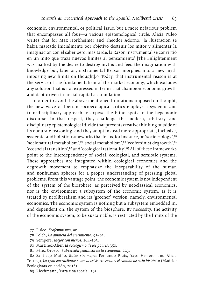economic, environmental, or political issue, but a more nefarious problem that encompasses all four—a vicious epistemological circle. Alicia Puleo writes that for Max Horkheimer and Theodor Adorno, 'la Ilustración se había marcado inicialmente por objetivo destruir los mitos y alimentar la imaginación con el saber pero, más tarde, la Razón instrumental se convirtió en un mito que traza nuevos límites al pensamiento' [The Enlightenment was marked by the desire to destroy myths and feed the imagination with knowledge but, later on, instrumental Reason morphed into a new myth imposing new limits on thought].77 Today, that instrumental reason is at the service of the fundamentalism of the market economy, which excludes any solution that is not expressed in terms that champion economic growth and debt-driven financial capital accumulation.

In order to avoid the above-mentioned limitations imposed on thought, the new wave of Iberian socioecological critics employs a systemic and transdisciplinary approach to expose the blind spots in the hegemonic discourse. In that respect, they challenge the modern, arbitrary, and disciplinary epistemological divide that prevents creative thinking outside of its obdurate reasoning, and they adopt instead more appropriate, inclusive, systemic, and holistic frameworks that focus, for instance, on 'socioecology', 78 'socionatural metabolism',79 'social metabolism',80 'ecofeminist degrowth',81 'ecosocial transition',  $82$  and 'ecological rationality'.  $83$  All of these frameworks point to the interdependency of social, ecological, and semiotic systems. These approaches are integrated within ecological economics and the degrowth movement to emphasize the inseparability of the human and nonhuman spheres for a proper understanding of pressing global problems. From this vantage point, the economic system is not independent of the system of the biosphere, as perceived by neoclassical economics, nor is the environment a subsystem of the economic system, as it is treated by neoliberalism and its 'greener' version, namely, environmental economics. The economic system is nothing but a subsystem embedded in, and dependent on, the system of the biosphere. By necessity, the activity of the economic system, to be sustainable, is restricted by the limits of the

- 77 Puleo, *Ecofeminismo*, 90.
- 78 Folch, *La quimera del crecimiento*, 91–92.
- 79 Sempere, *Mejor con menos*, 164–165.
- 80 Martínez-Alier, *El ecologismo de los pobres*, 350.
- 81 Pérez Orozco, *Subversión feminista de la economía*, 223.

82 Santiago Muíño, *Rutas sin mapa*; Fernando Prats, Yayo Herrero, and Alicia Torrego, *La gran encrucijada: sobre la crisis ecosocial y el cambio de ciclo histórico* (Madrid: Ecologistas en acción, 2016).

83 Riechmann, 'Para una teoría', 193.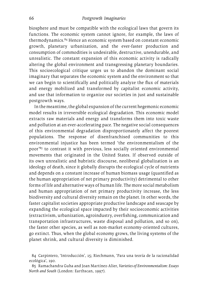biosphere and must be compatible with the ecological laws that govern its functions. The economic system cannot ignore, for example, the laws of thermodynamics.84 Hence an economic system based on constant economic growth, planetary urbanization, and the ever-faster production and consumption of commodities is undesirable, destructive, unendurable, and unrealistic. The constant expansion of this economic activity is radically altering the global environment and transgressing planetary boundaries. This socioecological critique urges us to abandon the dominant social imaginary that separates the economic system and the environment so that we can begin to scientifically and politically analyze the flux of materials and energy mobilized and transformed by capitalist economic activity, and use that information to organize our societies in just and sustainable postgrowth ways.

In the meantime, the global expansion of the current hegemonic economic model results in irreversible ecological degradation. This economic model extracts raw materials and energy and transforms them into toxic waste and pollution at an ever-accelerating pace. The negative social consequences of this environmental degradation disproportionately affect the poorest populations. The response of disenfranchised communities to this environmental injustice has been termed 'the environmentalism of the poor'85 to contrast it with previous, less socially oriented environmental movements that originated in the United States. If observed outside of its own unrealistic and hubristic discourse, neoliberal globalization is an ideology of death, since it globally disrupts the ecological cycle of nutrients and depends on a constant increase of human biomass usage (quantified as the human appropriation of net primary productivity) detrimental to other forms of life and alternative ways of human life. The more social metabolism and human appropriation of net primary productivity increase, the less biodiversity and cultural diversity remain on the planet. In other words, the faster capitalist societies appropriate productive landscape and seascape by expanding the ecological space impacted by their socioeconomic activities (extractivism, urbanization, agroindustry, overfishing, communication and transportation infrastructures, waste disposal and pollution, and so on), the faster other species, as well as non-market economy-oriented cultures, go extinct. Thus, when the global economy grows, the living systems of the planet shrink, and cultural diversity is diminished.

84 Carpintero, 'Introducción', 15; Riechmann, 'Para una teoría de la racionalidad ecológica', 190.

85 Ramachandra Guha and Joan Martínez-Alier, *Varieties of Environmentalism: Essays North and South* (London: Earthscan, 1997).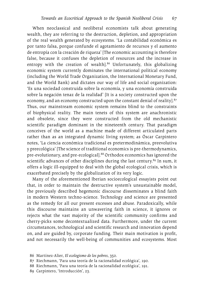When neoclassical and neoliberal economists talk about generating wealth, they are referring to the destruction, depletion, and appropriation of the real wealth generated by ecosystems. 'La contabilidad económica es por tanto falsa, porque confunde el agotamiento de recursos y el aumento de entropía con la creación de riqueza' [The economic accounting is therefore false, because it confuses the depletion of resources and the increase in entropy with the creation of wealth<sup>86</sup> Unfortunately, this globalizing economic system currently dominates the international political economy (including the World Trade Organization, the International Monetary Fund, and the World Bank) and dictates our way of life and social organization: 'Es una sociedad construida sobre la economía, y una economía construida sobre la negación tenaz de la realidad' [It is a society constructed upon the economy, and an economy constructed upon the constant denial of reality].<sup>87</sup> Thus, our mainstream economic system remains blind to the constraints of biophysical reality. The main tenets of this system are anachronistic and obsolete, since they were constructed from the old mechanistic scientific paradigm dominant in the nineteenth century. That paradigm conceives of the world as a machine made of different articulated parts rather than as an integrated dynamic living system; as Óscar Carpintero notes, 'La ciencia económica tradicional es pretermodinámica, preevolutiva y preecológica' [The science of traditional economics is pre-thermodynamics, pre-evolutionary, and pre-ecological].<sup>88</sup> Orthodox economics has ignored the scientific advances of other disciplines during the last century.<sup>89</sup> In sum, it offers a logic ill-equipped to deal with the global ecological crisis, which is exacerbated precisely by the globalization of its very logic.

Many of the aforementioned Iberian socioecological essayists point out that, in order to maintain the destructive system's unsustainable model, the previously described hegemonic discourse disseminates a blind faith in modern Western techno-science. Technology and science are presented as the remedy for all our present excesses and abuse. Paradoxically, while this discourse maintains an unwavering faith in science, it ignores or rejects what the vast majority of the scientific community confirms and cherry-picks some decontextualized data. Furthermore, under the current circumstances, technological and scientific research and innovation depend on, and are guided by, corporate funding. Their main motivation is profit, and not necessarily the well-being of communities and ecosystems. Most

<sup>86</sup> Martínez-Alier, *El ecologismo de los pobres*, 350.

<sup>87</sup> Riechmann, 'Para una teoría de la racionalidad ecológica', 190.

<sup>88</sup> Riechmann, 'Para una teoría de la racionalidad ecológica', 191.

<sup>89</sup> Carpintero, 'Introducción', 23.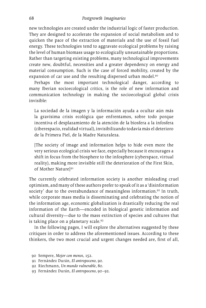new technologies are created under the industrial logic of faster production. They are designed to accelerate the expansion of social metabolism and to quicken the pace of the extraction of materials and the use of fossil fuel energy. These technologies tend to aggravate ecological problems by raising the level of human biomass usage to ecologically unsustainable proportions. Rather than targeting existing problems, many technological improvements create new, doubtful, necessities and a greater dependency on energy and material consumption. Such is the case of forced mobility, created by the expansion of car use and the resulting dispersed urban model.<sup>90</sup>

Perhaps the most important technological danger, according to many Iberian socioecological critics, is the role of new information and communication technology in making the socioecological global crisis invisible:

La sociedad de la imagen y la información ayuda a ocultar aún más la gravísima crisis ecológica que enfrentamos, sobre todo porque incentiva el desplazamiento de la atención de la biosfera a la infosfera (ciberespacio, realidad virtual), invisibilizando todavía más el deterioro de la Primera Piel, de la Madre Naturaleza.

[The society of image and information helps to hide even more the very serious ecological crisis we face, especially because it encourages a shift in focus from the biosphere to the infosphere (cyberspace, virtual reality), making more invisible still the deterioration of the First Skin, of Mother Naturel<sup>91</sup>

The currently celebrated information society is another misleading cruel optimism, and many of these authors prefer to speak of it as a 'disinformation society' due to the overabundance of meaningless information.<sup>92</sup> In truth, while corporate mass media is disseminating and celebrating the notion of the information age, economic globalization is drastically reducing the real information of the Earth—encoded in biological genetic information and cultural diversity—due to the mass extinction of species and cultures that is taking place on a planetary scale.93

In the following pages, I will explore the alternatives suggested by these critiques in order to address the aforementioned issues. According to these thinkers, the two most crucial and urgent changes needed are, first of all,

<sup>90</sup> Sempere, *Mejor con menos*, 152.

<sup>91</sup> Fernández Durán, *El antropoceno*, 90.

<sup>92</sup> Riechmann, *Un mundo vulnerable*, 80.

<sup>93</sup> Fernández Durán, *El antropoceno*, 90–92.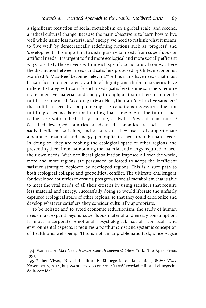a significant reduction of social metabolism on a global scale; and second, a radical cultural change. Because the main objective is to learn how to live well while using less material and energy, we need to rethink what it means to 'live well' by democratically redefining notions such as 'progress' and 'development'. It is important to distinguish vital needs from superfluous or artificial needs. It is urgent to find more ecological and more socially efficient ways to satisfy those needs within each specific socionatural context. Here the distinction between needs and satisfiers proposed by Chilean economist Manfred A. Max-Neef becomes relevant.94 All humans have needs that must be satisfied in order to enjoy a life of dignity, and different societies have different strategies to satisfy such needs (satisfiers). Some satisfiers require more intensive material and energy throughput than others in order to fulfill the same need. According to Max-Neef, there are 'destructive satisfiers' that fulfill a need by compromising the conditions necessary either for fulfilling other needs or for fulfilling that same one in the future; such is the case with industrial agriculture, as Esther Vivas demonstrates.<sup>95</sup> So-called developed countries or advanced economies are societies with sadly inefficient satisfiers, and as a result they use a disproportionate amount of material and energy per capita to meet their human needs. In doing so, they are robbing the ecological space of other regions and preventing them from maintaining the material and energy required to meet their own needs. With neoliberal globalization imposed all over the world, more and more regions are persuaded or forced to adopt the inefficient satisfier strategies deployed by developed regions. This is a sure path to both ecological collapse and geopolitical conflict. The ultimate challenge is for developed countries to create a postgrowth social metabolism that is able to meet the vital needs of all their citizens by using satisfiers that require less material and energy. Successfully doing so would liberate the unfairly captured ecological space of other regions, so that they could decolonize and develop whatever satisfiers they consider culturally appropriate.

To be holistic and to avoid economic reductionism, the study of human needs must expand beyond superfluous material and energy consumption. It must incorporate emotional, psychological, social, spiritual, and environmental aspects. It requires a posthumanist and systemic conception of health and well-being. This is not an unproblematic task, since vague

<sup>94</sup> Manfred A. Max-Neef, *Human Scale Development* (New York: The Apex Press, 1991).

<sup>95</sup> Esther Vivas, 'Novedad editorial: 'El negocio de la comida', *Esther Vivas*, November 6, 2014, <https://esthervivas.com/2014/11/06/novedad>-editorial-el-negociode-la-comida/.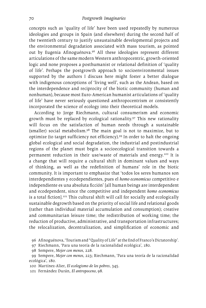concepts such as 'quality of life' have been used repeatedly by numerous ideologies and groups in Spain (and elsewhere) during the second half of the twentieth century to justify unsustainable developmental projects and the environmental degradation associated with mass tourism, as pointed out by Eugenia Afinoguénova.96 All these ideologies represent different articulations of the same modern Western anthropocentric, growth-oriented logic and none proposes a posthumanist or relational definition of 'quality of life'. Perhaps the postgrowth approach to socioenvironmental issues supported by the authors I discuss here might foster a better dialogue with indigenous conceptions of 'living well', such as the Andean, based on the interdependence and reciprocity of the biotic community (human and nonhuman), because most Euro-American humanist articulations of 'quality of life' have never seriously questioned anthropocentrism or consistently incorporated the science of ecology into their theoretical models.

According to Jorge Riechmann, cultural consumerism and economic growth must be replaced by ecological rationality.97 This new rationality will focus on the satisfaction of human needs through a sustainable (smaller) social metabolism.98 The main goal is not to maximize, but to optimize (to target sufficiency not efficiency).99 In order to halt the ongoing global ecological and social degradation, the industrial and postindustrial regions of the planet must begin a socioecological transition towards a permanent reduction in their use/waste of materials and energy.100 It is a change that will require a cultural shift in dominant values and ways of thinking, as well as the redefinition of humans' role in the biotic community. It is important to emphasize that 'todos los seres humanos son interdependientes y ecodependientes, pues el *homo economicus* competitivo e independiente es una absoluta ficción' [all human beings are interdependent and ecodependent, since the competitive and independent *homo economicus*  is a total fiction].<sup>101</sup> This cultural shift will call for socially and ecologically sustainable degrowth based on the priority of social life and relational goods (rather than individual material accumulation and consumption); creative and communitarian leisure time; the redistribution of working time; the reduction of productive, administrative, and transportation infrastructures; the relocalization, decentralization, and simplification of economic and

<sup>96</sup> Afinoguénova, 'Tourism and "Quality of Life" at the End of Franco's Dictatorship'.

<sup>97</sup> Riechmann, 'Para una teoría de la racionalidad ecológica', 180.

<sup>98</sup> Sempere, *Mejor con menos*, 228.

<sup>99</sup> Sempere, *Mejor con menos*, 223; Riechmann, 'Para una teoría de la racionalidad ecológica', 180.

<sup>100</sup> Martínez-Alier, *El ecologismo de los pobres*, 345.

<sup>101</sup> Fernández Durán, *El antropoceno*, 98.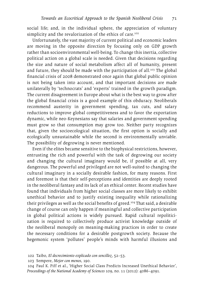social life; and, in the individual sphere, the appreciation of voluntary simplicity and the revalorization of the ethics of care.<sup>102</sup>

Unfortunately, the vast majority of current political and economic leaders are moving in the opposite direction by focusing only on GDP growth rather than socioenvironmental well-being. To change this inertia, collective political action on a global scale is needed. Given that decisions regarding the size and nature of social metabolism affect all of humanity, present and future, they should be made with the participation of all.<sup>103</sup> The global financial crisis of 2008 demonstrated once again that global public opinion is not being taken into account, and that important decisions are made unilaterally by 'technocrats' and 'experts' trained in the growth paradigm. The current disagreement in Europe about what is the best way to grow after the global financial crisis is a good example of this obduracy. Neoliberals recommend austerity in government spending, tax cuts, and salary reductions to improve global competitiveness and to favor the exportation dynamic, while neo-Keynesians say that salaries and government spending must grow so that consumption may grow too. Neither party recognizes that, given the socioecological situation, the first option is socially and ecologically unsustainable while the second is environmentally unviable. The possibility of degrowing is never mentioned.

Even if the elites became sensitive to the biophysical restrictions, however, entrusting the rich and powerful with the task of degrowing our society and changing the cultural imaginary would be, if possible at all, very dangerous. The powerful and privileged are not well-suited to changing the cultural imaginary in a socially desirable fashion, for many reasons. First and foremost is that their self-perceptions and identities are deeply rooted in the neoliberal fantasy and its lack of an ethical center. Recent studies have found that individuals from higher social classes are more likely to exhibit unethical behavior and to justify existing inequality while rationalizing their privileges as well as the social benefits of greed.104 That said, a desirable change of course can only happen if meaningful and collective participation in global political actions is widely pursued. Rapid cultural repoliticization is required to collectively produce activist knowledge outside of the neoliberal monopoly on meaning-making practices in order to create the necessary conditions for a desirable postgrowth society. Because the hegemonic system 'pollutes' people's minds with harmful illusions and

103 Sempere, *Mejor con menos*, 190.

104 Paul K. Piff et al., 'Higher Social Class Predicts Increased Unethical Behavior', *Proceedings of the National Academy of Sciences* 109, no. 11 (2012): 4086–4091.

<sup>102</sup> Taibo, *El decrecimiento explicado con sencillez*, 52–53.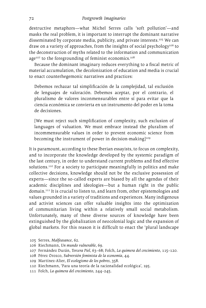destructive metaphors—what Michel Serres calls 'soft pollution'—and masks the real problem, it is important to interrupt the dominant narrative disseminated by corporate media, publicity, and private interests.<sup>105</sup> We can draw on a variety of approaches, from the insights of social psychology<sup>106</sup> to the deconstruction of myths related to the information and communication age $107$  to the foregrounding of feminist economics.<sup>108</sup>

Because the dominant imaginary reduces everything to a fiscal metric of material accumulation, the decolonization of education and media is crucial to enact counterhegemonic narratives and practices:

Debemos rechazar tal simplificación de la complejidad, tal exclusión de lenguajes de valoración. Debemos aceptar, por el contrario, el pluralismo de valores inconmensurables entre sí para evitar que la ciencia económica se convierta en un instrumento del poder en la toma de decisiones.

[We must reject such simplification of complexity, such exclusion of languages of valuation. We must embrace instead the pluralism of incommensurable values in order to prevent economic science from becoming the instrument of power in decision-making $]^{109}$ 

It is paramount, according to these Iberian essayists, to focus on complexity, and to incorporate the knowledge developed by the systemic paradigm of the last century, in order to understand current problems and find effective solutions.<sup>110</sup> For a society to participate meaningfully in politics and make collective decisions, knowledge should not be the exclusive possession of experts—since the so-called experts are biased by all the agendas of their academic disciplines and ideologies—but a human right in the public domain.111 It is crucial to listen to, and learn from, other epistemologies and values grounded in a variety of traditions and experiences. Many indigenous and activist sciences can offer valuable insights into the optimization of communitarian living within a relatively small social metabolism. Unfortunately, many of these diverse sources of knowledge have been extinguished by the globalization of neocolonial logic and the expansion of global markets. For this reason it is difficult to enact the 'plural landscape

<sup>105</sup> Serres, *Malfeasance*, 62.

<sup>106</sup> Riechmann, *Un mundo vulnerable*, 69.

<sup>107</sup> Fernández Durán, *Tercera Piel*, 63–68; Folch, *La quimera del crecimiento*, 115–120.

<sup>108</sup> Pérez Orozco, *Subversión feminista de la economía*, 44.

<sup>109</sup> Martínez-Alier, *El ecologismo de los pobres*, 358.

<sup>110</sup> Riechmann, 'Para una teoría de la racionalidad ecológica', 195.

<sup>111</sup> Folch, *La quimera del crecimiento*, 244–245.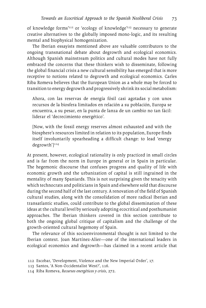of knowledge forms'112 or 'ecology of knowledge'113 necessary to generate creative alternatives to the globally imposed mono-logic, and its resulting mental and biophysical homogenization.

The Iberian essayists mentioned above are valuable contributors to the ongoing transnational debate about degrowth and ecological economics. Although Spanish mainstream politics and cultural modes have not fully embraced the concerns that these thinkers wish to disseminate, following the global financial crisis a new cultural sensibility has emerged that is more receptive to notions related to degrowth and ecological economics. Carles Riba Romeva believes that the European Union as a whole may be forced to transition to energy degrowth and progressively shrink its social metabolism:

Ahora, con las reservas de energía fósil casi agotadas y con unos recursos de la biosfera limitados en relación a su población, Europa se encuentra, a su pesar, en la punta de lanza de un cambio no tan fácil: liderar el 'decrecimiento energético'.

[Now, with the fossil energy reserves almost exhausted and with the biosphere's resources limited in relation to its population, Europe finds itself involuntarily spearheading a difficult change: to lead 'energy degrowth']<sup>114</sup>

At present, however, ecological rationality is only practiced in small circles and is far from the norm in Europe in general or in Spain in particular. The hegemonic discourse that confuses progress and quality of life with economic growth and the urbanization of capital is still ingrained in the mentality of many Spaniards. This is not surprising given the tenacity with which technocrats and politicians in Spain and elsewhere sold that discourse during the second half of the last century. A renovation of the field of Spanish cultural studies, along with the consolidation of more radical Iberian and transatlantic studies, could contribute to the global dissemination of these ideas at the cultural level by seriously adopting ecocritical and posthumanist approaches. The Iberian thinkers covered in this section contribute to both the ongoing global critique of capitalism and the challenge of the growth-oriented cultural hegemony of Spain.

The relevance of this socioenvironmental thought is not limited to the Iberian context. Joan Martínez-Alier—one of the international leaders in ecological economics and degrowth—has claimed in a recent article that

<sup>112</sup> Escobar, 'Development, Violence and the New Imperial Order', 17.

<sup>113</sup> Santos, 'A Non-Occidentalist West?', 116.

<sup>114</sup> Riba Romeva, *Recursos energéticos y crisis*, 272.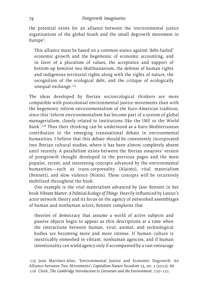the potential exists for an alliance between the 'environmental justice organizations of the global South and the small degrowth movement in Europe':

This alliance must be based on a common stance against 'debt-fueled' economic growth and the hegemonic of economic accounting, and in favor of a pluralism of values, the acceptance and support of bottom-up feminist neo-Malthusianism, the defense of human rights and indigenous territorial rights along with the rights of nature, the recognition of the ecological debt, and the critique of ecologically unequal exchange.<sup>115</sup>

The ideas developed by Iberian socioecological thinkers are more compatible with postcolonial environmental justice movements than with the hegemonic reform environmentalism of the Euro-American tradition, since this 'reform environmentalism has become part of a system of global managerialism, closely related to institutions like the IMF or the World Bank'.116 Thus their thinking can be understood as a Euro-Mediterranean contribution to the emerging transnational debate in environmental humanities. I believe that this debate should be consistently incorporated into Iberian cultural studies, where it has been almost completely absent until recently. A parallelism exists between the Iberian essayists' version of postgrowth thought developed in the previous pages and the most popular, recent, and interesting concepts advanced by the environmental humanities—such as trans-corporeality (Alaimo), vital materialism (Bennett), and slow violence (Nixon). These concepts will be recursively mobilized throughout the book.

One example is the vital materialism advanced by Jane Bennett in her book *Vibrant Matter: A Political Ecology of Things*. Heavily influenced by Latour's actor network theory and its focus on the agency of networked assemblages of human and nonhuman actors, Bennett complains that

theories of democracy that assume a world of active subjects and passive objects begin to appear as thin descriptions at a time when the interactions between human, viral, animal, and technological bodies are becoming more and more intense. If human culture is inextricably enmeshed in vibrant, nonhuman agencies, and if human intentionality can wield agency only if accompanied by a vast entourage

115 Joan Martínez-Alier, 'Environmental Justice and Economic Degrowth: An Alliance between Two Movements', *Capitalism Nature Socialism* 23, no. 1 (2012): 66. 116 Clark, *The Cambridge Introduction to Literature and the Environment*, 120–121.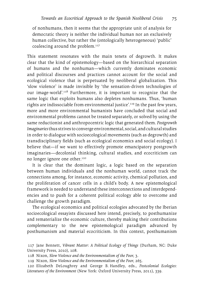of nonhumans, then it seems that the appropriate unit of analysis for democratic theory is neither the individual human nor an exclusively human collective, but rather the (ontologically heterogeneous) 'public' coalescing around the problem.<sup>117</sup>

This statement resonates with the main tenets of degrowth. It makes clear that the kind of epistemology—based on the hierarchical separation of humans and the nonhuman—which currently dominates economic and political discourses and practices cannot account for the social and ecological violence that is perpetuated by neoliberal globalization. This 'slow violence' is made invisible by 'the sensation-driven technologies of our image-world'.118 Furthermore, it is important to recognize that the same logic that exploits humans also depletes nonhumans. Thus, 'human rights are indissociable from environmental justice'.119 In the past few years, more and more environmental humanists have concluded that social and environmental problems cannot be treated separately, or solved by using the same reductionist and anthropocentric logic that generated them. *Postgrowth Imaginaries* thus strives to converge environmental, social, and cultural studies in order to dialogue with socioecological movements (such as degrowth) and transdisciplinary fields (such as ecological economics and social ecology). I believe that—if we want to effectively promote emancipatory postgrowth imaginaries—decolonial thinking, cultural studies, and ecocriticism can no longer ignore one other.120

It is clear that the dominant logic, a logic based on the separation between human individuals and the nonhuman world, cannot track the connections among, for instance, economic activity, chemical pollution, and the proliferation of cancer cells in a child's body. A new epistemological framework is needed to understand these interconnections and interdependencies and to push for a coherent political ecology able to overcome and challenge the growth paradigm.

The ecological economics and political ecologies advocated by the Iberian socioecological essayists discussed here intend, precisely, to posthumanize and rematerialize the economic culture, thereby making their contributions complementary to the new epistemological paradigm advanced by posthumanism and material ecocriticism. In this context, posthumanism

- 118 Nixon, *Slow Violence and the Environmentalism of the Poor*, 3.
- 119 Nixon, *Slow Violence and the Environmentalism of the Poor*, 265.

120 Elizabeth DeLoughrey and George B. Handley, eds., *Postcolonial Ecologies: Literatures of the Environment* (New York: Oxford University Press, 2011), 339.

<sup>117</sup> Jane Bennett, *Vibrant Matter: A Political Ecology of Things* (Durham, NC: Duke University Press, 2010), 108.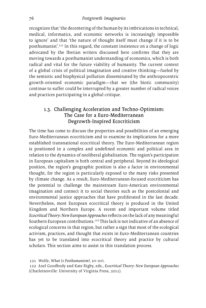recognizes that 'the decentering of the human by its imbrications in technical, medical, informatics, and economic networks is increasingly impossible to ignore' and that 'the nature of thought itself must change if it is to be posthumanist'.121 In this regard, the constant insistence on a change of logic advocated by the Iberian writers discussed here confirms that they are moving towards a posthumanist understanding of economics, which is both radical and vital for the future viability of humanity. The current context of a global crisis of political imagination and creative thinking—fueled by the semiotic and biophysical pollution disseminated by the anthropocentric growth-oriented economic paradigm—that we (the biotic community) continue to suffer could be interrupted by a greater number of radical voices and practices participating in a global critique.

# 1.3. Challenging Acceleration and Techno-Optimism: The Case for a Euro-Mediterranean Degrowth-Inspired Ecocriticism

The time has come to discuss the properties and possibilities of an emerging Euro-Mediterranean ecocriticism and to examine its implications for a more established transnational ecocritical theory. The Euro-Mediterranean region is positioned in a complex and undefined economic and political area in relation to the dynamics of neoliberal globalization. The region's participation in European capitalism is both central and peripheral. Beyond its ideological position, the region's geographic position is also a factor in environmental thought, for the region is particularly exposed to the many risks presented by climate change. As a result, Euro-Mediterranean-focused ecocriticism has the potential to challenge the mainstream Euro-American environmental imagination and connect it to social theories such as the postcolonial and environmental justice approaches that have proliferated in the last decade. Nevertheless, most European ecocritical theory is produced in the United Kingdom and Northern Europe. A recent and important volume titled *Ecocritical Theory: New European Approaches* reflects on the lack of any meaningful Southern European contributions.122 This lack is not indicative of an absence of ecological concerns in that region, but rather a sign that most of the ecological activism, practices, and thought that exists in Euro-Mediterranean countries has yet to be translated into ecocritical theory and practice by cultural scholars. This section aims to assist in this translation process.

121 Wolfe, *What Is Posthumanism?*, xv–xvi.

122 Axel Goodbody and Kate Rigby, eds., *Ecocritical Theory: New European Approaches* (Charlottesville: University of Virginia Press, 2011).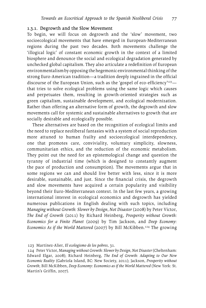### 1.3.1. Degrowth and the Slow Movement

To begin, we will focus on degrowth and the 'slow' movement, two socioecological movements that have emerged in European-Mediterranean regions during the past two decades. Both movements challenge the 'illogical logic' of constant economic growth in the context of a limited biosphere and denounce the social and ecological degradation generated by unchecked global capitalism. They also articulate a redefinition of European environmentalism by opposing the hegemonic environmental thinking of the strong Euro-American tradition—a tradition deeply ingrained in the official discourse of the European Union, such as the 'gospel of eco-efficiency'<sup>123</sup> that tries to solve ecological problems using the same logic which causes and perpetuates them, resulting in growth-oriented strategies such as green capitalism, sustainable development, and ecological modernization. Rather than offering an alternative form of growth, the degrowth and slow movements call for systemic and sustainable alternatives to growth that are socially desirable and ecologically possible.

These alternatives are based on the recognition of ecological limits and the need to replace neoliberal fantasies with a system of social reproduction more attuned to human frailty and socioecological interdependency, one that promotes care, conviviality, voluntary simplicity, slowness, communitarian ethics, and the reduction of the economic metabolism. They point out the need for an epistemological change and question the tyranny of industrial time (which is designed to constantly augment the pace of production and consumption). The movements argue that in some regions we can and should live better with less, since it is more desirable, sustainable, and just. Since the financial crisis, the degrowth and slow movements have acquired a certain popularity and visibility beyond their Euro-Mediterranean context. In the last few years, a growing international interest in ecological economics and degrowth has yielded numerous publications in English dealing with such topics, including *Managing without Growth: Slower by Design, Not Disaster* (2008) by Peter Victor, *The End of Growth* (2011) by Richard Heinberg, *Prosperity without Growth: Economics for a Finite Planet* (2009) by Tim Jackson, and *Deep Economy: Economics As if the World Mattered* (2007) by Bill McKibben.124 The growing

<sup>123</sup> Martínez-Alier, *El ecologismo de los pobres*, 31.

<sup>124</sup> Peter Victor, *Managing without Growth: Slower by Design, Not Disaster* (Cheltenham: Edward Elgar, 2008); Richard Heinberg, *The End of Growth: Adapting to Our New Economic Reality* (Gabriola Island, BC: New Society, 2011); Jackson, *Prosperity without Growth*; Bill McKibben, *Deep Economy: Economics as if the World Mattered* (New York: St. Martin's Griffin, 2007).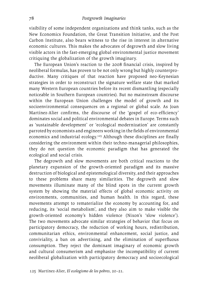visibility of some independent organizations and think tanks, such as the New Economics Foundation, the Great Transition Initiative, and the Post Carbon Institute, also bears witness to the rise in interest in alternative economic cultures. This makes the advocates of degrowth and slow living visible actors in the fast-emerging global environmental justice movement critiquing the globalization of the growth imaginary.

The European Union's reaction to the 2008 financial crisis, inspired by neoliberal formulas, has proven to be not only wrong but highly counterproductive. Many critiques of that reaction have proposed neo-Keynesian strategies in order to reconstruct the signature welfare state that marked many Western European countries before its recent dismantling (especially noticeable in Southern European countries). But no mainstream discourse within the European Union challenges the model of growth and its socioenvironmental consequences on a regional or global scale. As Joan Martínez-Alier confirms, the discourse of the 'gospel of eco-efficiency' dominates social and political environmental debates in Europe. Terms such as 'sustainable development' or 'ecological modernization' are constantly parroted by economists and engineers working in the fields of environmental economics and industrial ecology.<sup>125</sup> Although these disciplines are finally considering the environment within their techno-managerial philosophies, they do not question the economic paradigm that has generated the ecological and social crisis.

The degrowth and slow movements are both critical reactions to the planetary expansion of the growth-oriented paradigm and its massive destruction of biological and epistemological diversity, and their approaches to these problems share many similarities. The degrowth and slow movements illuminate many of the blind spots in the current growth system by showing the material effects of global economic activity on environments, communities, and human health. In this regard, these movements attempt to rematerialize the economy by accounting for, and reducing, its 'social metabolism', and they also aim to make visible the growth-oriented economy's hidden violence (Nixon's 'slow violence'). The two movements advocate similar strategies of behavior that focus on participatory democracy, the reduction of working hours, redistribution, communitarian ethics, environmental enhancement, social justice, and conviviality, a ban on advertising, and the elimination of superfluous consumption. They reject the dominant imaginary of economic growth and cultural consumerism and emphasize the incompatibility of current neoliberal globalization with participatory democracy and socioecological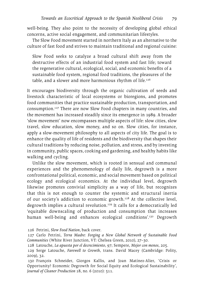well-being. They also point to the necessity of developing global ethical concerns, active social engagement, and communitarian lifestyles.

The Slow Food movement started in northern Italy as an alternative to the culture of fast food and strives to maintain traditional and regional cuisine:

Slow Food seeks to catalyze a broad cultural shift away from the destructive effects of an industrial food system and fast life; toward the regenerative cultural, ecological, social, and economic benefits of a sustainable food system, regional food traditions, the pleasures of the table, and a slower and more harmonious rhythm of life.<sup>126</sup>

It encourages biodiversity through the organic cultivation of seeds and livestock characteristic of local ecosystems or bioregions, and promotes food communities that practice sustainable production, transportation, and consumption.127 There are now Slow Food chapters in many countries, and the movement has increased steadily since its emergence in 1989. A broader 'slow movement' now encompasses multiple aspects of life: slow cities, slow travel, slow education, slow money, and so on. Slow cities, for instance, apply a slow-movement philosophy to all aspects of city life. The goal is to enhance the quality of life of residents and the biodiversity that shapes their cultural traditions by reducing noise, pollution, and stress, and by investing in community, public spaces, cooking and gardening, and healthy habits like walking and cycling.

Unlike the slow movement, which is rooted in sensual and communal experiences and the phenomenology of daily life, degrowth is a more confrontational political, economic, and social movement based on political ecology and ecological economics. At the individual level, degrowth likewise promotes convivial simplicity as a way of life, but recognizes that this is not enough to counter the systemic and structural inertia of our society's addiction to economic growth.128 At the collective level, degrowth implies a cultural revolution.<sup>129</sup> It calls for a democratically led 'equitable downscaling of production and consumption that increases human well-being and enhances ecological conditions'.<sup>130</sup> Degrowth

<sup>126</sup> Petrini, *Slow Food Nation*, back cover.

<sup>127</sup> Carlo Petrini, *Terra Madre: Forging a New Global Network of Sustainable Food Communities* (White River Junction, VT: Chelsea Green, 2010), 27–30.

<sup>128</sup> Latouche, *La apuesta por el decrecimiento*, 97; Sempere, *Mejor con menos*, 205.

<sup>129</sup> Serge Latouche, *Farewell to Growth*, trans. David Macey (Cambridge: Polity, 2009), 32.

<sup>130</sup> François Schneider, Giorgos Kallis, and Joan Matínez-Alier, 'Crisis or Opportunity? Economic Degrowth for Social Equity and Ecological Sustainability', *Journal of Cleaner Production* 18, no. 6 (2010): 511.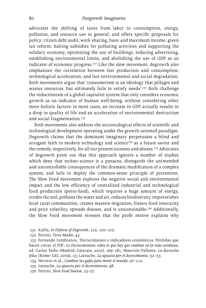advocates the shifting of taxes from labor to consumption, energy, pollution, and resource use in general, and offers specific proposals for policy: citizen debt audit, work sharing, basic and maximum income, green tax reform, halting subsidies for polluting activities and supporting the solidary economy, optimizing the use of buildings, reducing advertising, establishing environmental limits, and abolishing the use of GDP as an indicator of economic progress. $131$  Like the slow movement, degrowth also emphasizes the correlation between fast production and consumption, technological acceleration, and fast environmental and social degradation. Both movements argue that 'consumerism is an ideology that pillages and wastes resources, but ultimately fails to satisfy needs'.<sup>132</sup> Both challenge the reductionism of a global capitalist system that only considers economic growth as an indicator of human well-being, without considering other more holistic factors: in most cases, an increase in GDP actually results in a drop in quality of life and an acceleration of environmental destruction and social fragmentation.<sup>133</sup>

Both movements also address the socioecological effects of scientific and technological development operating under the growth-oriented paradigm. Degrowth claims that the dominant imaginary perpetuates a blind and arrogant faith in modern technology and science<sup>134</sup> as a future savior and the remedy, respectively, for all our present excesses and abuses.<sup>135</sup> Advocates of degrowth point out that this approach ignores a number of studies which deny that techno-science is a panacea, disregards the unintended and uncontrollable consequences of the dramatic modification of a complex system, and fails to deploy the common-sense principle of prevention. The Slow Food movement explores the negative social and environmental impact and the low efficiency of centralized industrial and technological food production (petro-food), which requires a huge amount of energy, erodes the soil, pollutes the water and air, reduces biodiversity, impoverishes local rural communities, creates massive migration, fosters food insecurity and price volatility, spreads disease, and is unsustainable.<sup>136</sup> Additionally, the Slow Food movement stresses that the profit motive explains why

- 131 Kallis, *In Defense of Degrowth,* 122, 100–102.
- 132 Petrini, *Terra Madre*, 43.

- 134 Herrero et al., *Cambiar las gafas para mirar el mundo*, 97–112.
- 135 Latouche, *La apuesta por el decrecimiento*, 48.
- 136 Petrini, *Slow Food Nation*, 23–27.

<sup>133</sup> Fernando Cembranos, 'Decrecimiento e indicadores económicos. Pérdidas que hacen crecer el PIB', in *Decrecimientos: sobre lo que hay que cambiar en la vida cotidiana*, ed. Carlos Taibo (Madrid: Catarata, 2010), 169–181; Maurizio Pallante, *La decrescita felice* (Rome: GEI, 2009), 23; Latouche, *La apuesta por el decrecimiento*, 52–53.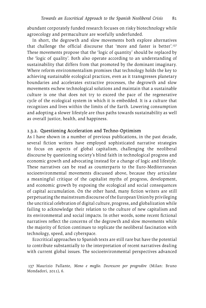abundant corporately funded research focuses on risky biotechnology while agroecology and permaculture are woefully underfunded.

In short, the degrowth and slow movements both explore alternatives that challenge the official discourse that 'more and faster is better'.<sup>137</sup> These movements propose that the 'logic of quantity' should be replaced by the 'logic of quality'. Both also operate according to an understanding of sustainability that differs from that promoted by the dominant imaginary. Where reform environmentalism promises that technology holds the key to achieving sustainable ecological practices, even as it transgresses planetary boundaries and accelerates extractive processes, the degrowth and slow movements eschew technological solutions and maintain that a sustainable culture is one that does not try to exceed the pace of the regenerative cycle of the ecological system in which it is embedded. It is a culture that recognizes and lives within the limits of the Earth. Lowering consumption and adopting a slower lifestyle are thus paths towards sustainability as well as overall justice, health, and happiness.

#### 1.3.2. Questioning Acceleration and Techno-Optimism

As I have shown in a number of previous publications, in the past decade, several fiction writers have employed sophisticated narrative strategies to focus on aspects of global capitalism, challenging the neoliberal discourse by questioning society's blind faith in technological progress and economic growth and advocating instead for a change of logic and lifestyle. These narratives can be read as counterparts to the Euro-Mediterranean socioenvironmental movements discussed above, because they articulate a meaningful critique of the capitalist myths of progress, development, and economic growth by exposing the ecological and social consequences of capital accumulation. On the other hand, many fiction writers are still perpetuating the mainstream discourse of the European Union by privileging the uncritical celebration of digital culture, progress, and globalization while failing to acknowledge their relation to the culture of new capitalism and its environmental and social impacts. In other words, some recent fictional narratives reflect the concerns of the degrowth and slow movements while the majority of fiction continues to replicate the neoliberal fascination with technology, speed, and cyberspace.

Ecocritical approaches to Spanish texts are still rare but have the potential to contribute substantially to the interpretation of recent narratives dealing with current global issues. The socioenvironmental perspectives advanced

<sup>137</sup> Maurizio Pallante, *Meno e meglio. Decrescere per progredire* (Milan: Bruno Mondadori, 2011), 6.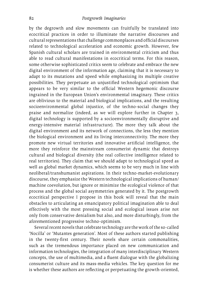by the degrowth and slow movements can fruitfully be translated into ecocritical practices in order to illuminate the narrative discourses and cultural representations that challenge commonplaces and official discourses related to technological acceleration and economic growth. However, few Spanish cultural scholars are trained in environmental criticism and thus able to read cultural manifestations in ecocritical terms. For this reason, some otherwise sophisticated critics seem to celebrate and embrace the new digital environment of the information age, claiming that it is necessary to adapt to its mutations and speed while emphasizing its multiple creative possibilities. They perpetuate an unjustified technological optimism that appears to be very similar to the official Western hegemonic discourse ingrained in the European Union's environmental imaginary. These critics are oblivious to the material and biological implications, and the resulting socioenvironmental global injustice, of the techno-social changes they praise and normalize (indeed, as we will explore further in Chapter 3, digital technology is supported by a socioenvironmentally disruptive and energy-intensive material infrastructure). The more they talk about the digital environment and its network of connections, the less they mention the biological environment and its living interconnectivity. The more they promote new virtual territories and innovative artificial intelligence, the more they reinforce the mainstream consumerist dynamic that destroys cultural and biological diversity (the real collective intelligence related to real territories). They claim that we should adapt to technological speed as well as global market dynamics, which seems to be very much in line with neoliberal/transhumanist aspirations. In their techno-market-evolutionary discourse, they emphasize the Western technological implications of human/ machine coevolution, but ignore or minimize the ecological violence of that process and the global social asymmetries generated by it. The postgrowth ecocritical perspective I propose in this book will reveal that the main obstacles to articulating an emancipatory political imagination able to deal effectively with the most pressing social and ecological issues arise not only from conservative denialism but also, and more disturbingly, from the aforementioned progressive techno-optimism.

Several recent novels that celebrate technology are the work of the so-called 'Nocilla' or 'Mutantes generation'. Most of these authors started publishing in the twenty-first century. Their novels share certain commonalities, such as the tremendous importance placed on new communication and information technologies, the integration of many interdisciplinary Western concepts, the use of multimedia, and a fluent dialogue with the globalizing consumerist culture and its mass-media vehicles. The key question for me is whether these authors are reflecting or perpetuating the growth-oriented,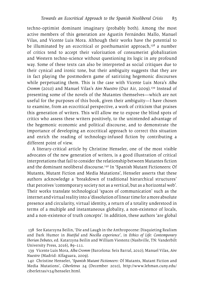techno-optimist dominant imaginary (probably both). Among the most active members of this generation are Agustín Fernández Mallo, Manuel Vilas, and Vicente Luis Mora. Although their works have the potential to be illuminated by an ecocritical or posthumanist approach, $138$  a number of critics tend to accept their valorization of consumerist globalization and Western techno-science without questioning its logic in any profound way. Some of these texts can also be interpreted as social critiques due to their cynical and ironic tone, but their ambiguity suggests that they are in fact playing the postmodern game of satirizing hegemonic discourses while perpetuating them. This is the case with Vicente Luis Mora's *Alba Cromm* (2010) and Manuel Vilas's *Aire Nuestro* (Our Air, 2009).139 Instead of presenting some of the novels of the Mutantes themselves—which are not useful for the purposes of this book, given their ambiguity—I have chosen to examine, from an ecocritical perspective, a work of criticism that praises this generation of writers. This will allow me to expose the blind spots of critics who assess these writers positively, to the unintended advantage of the hegemonic economic and political discourse, and to demonstrate the importance of developing an ecocritical approach to correct this situation and enrich the reading of technology-infused fiction by contributing a different point of view.

A literary-critical article by Christine Henseler, one of the most visible advocates of the new generation of writers, is a good illustration of critical interpretations that fail to consider the relationship between Mutantes fiction and the dominant neoliberal discourse.<sup>140</sup> In 'Spanish Mutant Fictioneers: Of Mutants, Mutant Fiction and Media Mutations', Henseler asserts that these authors acknowledge a 'breakdown of traditional hierarchical structures' that perceives 'contemporary society not as a vertical, but as a horizontal web'. Their works translate technological 'spaces of communication' such as the internet and virtual reality into a 'dissolution of linear time for a more absolute presence and circularity, virtual identity, a return of a totality understood in terms of a multiple and instantaneous globality, a non-existence of locals, and a non-existence of truth concepts'. In addition, these authors 'are global

<sup>138</sup> See Katarzyna Beilin, 'Die and Laugh in the Anthropocene: Disquieting Realism and Dark Humor in *Biutiful* and *Nocilla experience*', in *Ethics of Life: Contemporary Iberian Debates*, ed. Katarzyna Beilin and William Viestenz (Nashville, TN: Vanderbilt University Press, 2016), 89–111.

<sup>139</sup> Vicente Luis Mora, *Alba Cromm* (Barcelona: Seix Barral, 2010); Manuel Vilas, *Aire Nuestro* (Madrid: Alfaguara, 2009).

<sup>140</sup> Christine Henseler, '*Spanish Mutant Fictioneers*: Of Mutants, Mutant Fiction and Media Mutations', *Ciberletras* 24 (December 2010), [http://www.lehman.cuny.edu/](http://www.lehman.cuny.edu/ciberletras/v24/henseler.html) [ciberletras/v24/henseler.html.](http://www.lehman.cuny.edu/ciberletras/v24/henseler.html)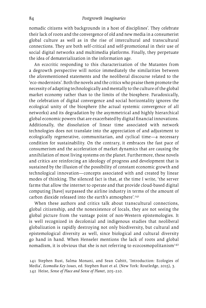nomadic citizens with backgrounds in a host of disciplines'. They celebrate their lack of roots and the convergence of old and new media in a consumerist global culture as well as in the rise of intercultural and transcultural connections. They are both self-critical and self-promotional in their use of social digital networks and multimedia platforms. Finally, they perpetuate the idea of dematerialization in the information age.

An ecocritic responding to this characterization of the Mutantes from a degrowth perspective will notice immediately the similarities between the aforementioned statements and the neoliberal discourse related to the 'eco-modernists'. Both the novels and the critics who praise them promote the necessity of adapting technologically and mentally to the culture of the global market economy rather than to the limits of the biosphere. Paradoxically, the celebration of digital convergence and social horizontality ignores the ecological unity of the biosphere (the actual systemic convergence of all networks) and its degradation by the asymmetrical and highly hierarchical global economic powers that are exacerbated by digital financial innovations. Additionally, the dissolution of linear time associated with network technologies does not translate into the appreciation of and adjustment to ecologically regenerative, communitarian, and cyclical time—a necessary condition for sustainability. On the contrary, it embraces the fast pace of consumerism and the acceleration of market dynamics that are causing the annihilation of most living systems on the planet. Furthermore, these novels and critics are reinforcing an ideology of progress and development that is sustained by the illusion of the possibility of constant economic growth and technological innovation—concepts associated with and created by linear modes of thinking. The silenced fact is that, at the time I write, 'the server farms that allow the internet to operate and that provide cloud-based digital computing [have] surpassed the airline industry in terms of the amount of carbon dioxide released into the earth's atmosphere'.141

When these authors and critics talk about transcultural connections, global citizenship, and the nonexistence of locals, they are not seeing the global picture from the vantage point of non-Western epistemologies. It is well recognized in decolonial and indigenous studies that neoliberal globalization is rapidly destroying not only biodiversity, but cultural and epistemological diversity as well, since biological and cultural diversity go hand in hand. When Henseler mentions the lack of roots and global nomadism, it is obvious that she is not referring to ecocosmopolitanism $142$ 

<sup>141</sup> Stephen Rust, Salma Monani, and Sean Cubitt, 'Introduction: Ecologies of Media', *Ecomedia Key Issues*, ed. Stephen Rust et al. (New York: Routledge, 2015), 3. 142 Heise, *Sense of Place and Sense of Planet*, 205–210.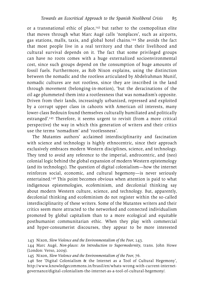or a transnational ethic of place,<sup>143</sup> but rather to the cosmopolitan elite that moves through what Marc Augé calls 'nonplaces', such as airports, gas stations, malls, taxis, and global hotel chains.144 She avoids the fact that most people live in a real territory and that their livelihood and cultural survival depends on it. The fact that some privileged groups can have no roots comes with a huge externalized socioenvironmental cost, since such groups depend on the consumption of huge amounts of fossil fuels. Furthermore, as Rob Nixon explains, using the distinction between the nomadic and the rootless articulated by Abdelrahman Munif, nomadic cultures are not rootless, since they are inscribed in the land through movement (belonging-in-motion), 'but the deracinations of the oil age plummeted them into a rootlessness that was nomadism's opposite. Driven from their lands, increasingly urbanized, repressed and exploited by a corrupt upper class in cahoots with American oil interests, many lower-class Bedouin found themselves culturally humiliated and politically estranged'.145 Therefore, it seems urgent to revisit (from a more critical perspective) the way in which this generation of writers and their critics use the terms 'nomadism' and 'rootlessness'.

The Mutantes authors' acclaimed interdisciplinarity and fascination with science and technology is highly ethnocentric, since their approach exclusively embraces modern Western disciplines, science, and technology. They tend to avoid any reference to the imperial, androcentric, and (neo) colonial logic behind the global expansion of modern Western epistemology (and its technology). The question of digital colonialism—how the internet reinforces social, economic, and cultural hegemony—is never seriously entertained.146 This point becomes obvious when attention is paid to what indigenous epistemologies, ecofeminism, and decolonial thinking say about modern Western culture, science, and technology. But, apparently, decolonial thinking and ecofeminism do not register within the so-called interdisciplinarity of these writers. Some of the Mutantes writers and their critics seem more attracted to the networked and connected individualism promoted by global capitalism than to a more ecological and equitable posthumanist communitarian ethic. When they play with commercial and hyper-consumerist discourses, they appear to be more interested

146 See 'Digital Colonialism & the Internet as a Tool of Cultural Hegemony', [http://www.knowledgecommons.in/brasil/en/whats-wrong-with-current-internet](http://www.knowledgecommons.in/brasil/en/whats-wrong-with-current-internet-governance/digital)[governance/digital-](http://www.knowledgecommons.in/brasil/en/whats-wrong-with-current-internet-governance/digital)colonialism-the-internet-as-a-tool-of-cultural-hegemony/.

<sup>143</sup> Nixon, *Slow Violence and the Environmentalism of the Poor*, 143.

<sup>144</sup> Marc Augé, *Non-places: An Introduction to Supermodernity*, trans. John Howe (London: Verso, 2009).

<sup>145</sup> Nixon, *Slow Violence and the Environmentalism of the Poor*, 76.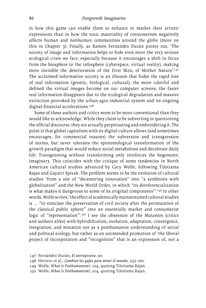in how this game can enable them to enhance or market their artistic expressions than in how the toxic materiality of consumerism negatively affects human and nonhuman communities around the globe (more on this in Chapter 3). Finally, as Ramón Fernández Durán points out, 'The society of image and information helps to hide even more the very serious ecological crisis we face, especially because it encourages a shift in focus from the biosphere to the infosphere (cyberspace, virtual reality), making more invisible the deterioration of the First Skin, of Mother Nature'.147 The acclaimed information society is an illusion that hides the rapid loss of real information (genetic, biological, cultural); the more colorful and defined the virtual images become on our computer screens, the faster real information disappears due to the ecological degradation and massive extinction provoked by the urban-agro-industrial system and its ongoing digital-financial accelerations.<sup>148</sup>

Some of these authors and critics seem to be more conventional than they would like to acknowledge. While they claim to be subverting or questioning the official discourse, they are actually perpetuating and embroidering it. The point is that global capitalism with its digital culture allows (and sometimes encourages, for commercial reasons) the subversion and transgression of norms, but never tolerates the epistemological transformation of the growth paradigm that would reduce social metabolism and decelerate daily life. Transgressing without transforming only reinforces the hegemonic imaginary. This coincides with the critique of some tendencies in North American cultural studies advanced by Cary Wolfe, following Tilottama Rajan and Gayatri Spivak. The problem seems to be the evolution of cultural studies 'from a site of "decentering innovation" into "a symbiosis with globalization" and the New World Order, in which "its dereferencialization is what makes it dangerous to some of its original components".<sup>149</sup> In other words, Wolfe writes, 'the effect of academically mainstreamed cultural studies is … "to simulate the preservation of civil society after the permutation of the classical public sphere" into an essentially market and consumerist logic of "representation".<sup>150</sup> I see the obsession of the Mutantes (critics and authors alike) with hybridification, evolution, adaptation, convergence, integration, and mutation not as a posthumanist understanding of social and political ecology, but rather as an unintended promotion of 'the liberal project of incorporation and "recognition" that is an expression of, not a

- 149 Wolfe, *What Is Posthumanism?*, 104, quoting Tilottama Rajan.
- 150 Wolfe, *What Is Posthumanism?*, 104, quoting Tilottama Rajan.

<sup>147</sup> Fernández Durán, *El antropoceno*, 90.

<sup>148</sup> Herrero et al., *Cambiar las gafas para mirar el mundo*, 233–261.